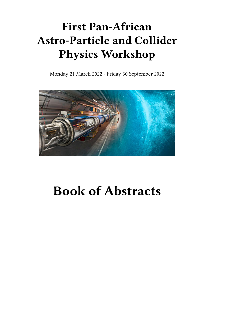# **First Pan-African Astro-Particle and Collider Physics Workshop**

Monday 21 March 2022 - Friday 30 September 2022



# **Book of Abstracts**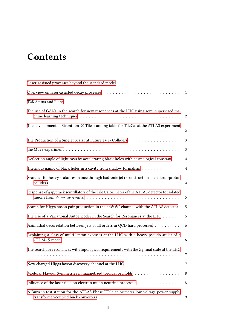# **Contents**

|                                                                                                   | $\mathbf{1}$     |
|---------------------------------------------------------------------------------------------------|------------------|
|                                                                                                   | $\mathbf{1}$     |
|                                                                                                   | 1                |
| The use of GANs in the search for new resonances at the LHC using semi-supervised ma-             | 2                |
| The development of Strontium-90 Tile scanning table for TileCal at the ATLAS experiment           | $\boldsymbol{2}$ |
|                                                                                                   | 3                |
|                                                                                                   | $\mathfrak{Z}$   |
| Deflection angle of light rays by accelerating black holes with cosmological constant             | 4                |
| Thermodynamic of black holes in a cavity from shadow formalism                                    | $\overline{4}$   |
| Searches for heavy scalar resonance through hadronic jet reconstruction at electron-proton        | 4                |
| Response of gap/crack scintillators of the Tile Calorimeter of the ATLAS detector to isolated     | 5                |
| Search for Higgs boson pair production in the bbWW <sup>*</sup> channel with the ATLAS detector   | 5                |
| The Use of a Variational Autoencoder in the Search for Resonances at the LHC                      | 5                |
| Azimuthal decorrelation between jets at all orders in QCD hard processes                          | 6                |
| Explaining a class of multi-lepton excesses at the LHC with a heavy pseudo-scalar of a            | 6                |
| The search for resonances with topological requirements with the $Z\gamma$ final state at the LHC | 7                |
|                                                                                                   | 7                |
| Modular Flavour Symmetries in magnetized toroidal orbifolds                                       | 8                |
| Influence of the laser field on electron muon neutrino processus                                  | 8                |
| A Burn-in test station for the ATLAS Phase-IITile-calorimeter low-voltage power supply            | 9                |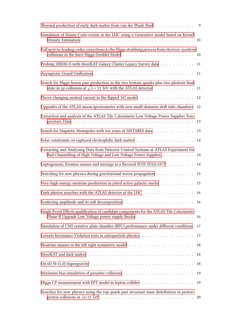| Thermal production of early dark matter from van der Waals fluid 9                                                                                                     |    |
|------------------------------------------------------------------------------------------------------------------------------------------------------------------------|----|
| Simulation of Monte-Carlo events at the LHC using a Generative model based on Kernel                                                                                   |    |
| Full next-to-leading-order corrections to the Higgs strahlung process from electron-positron                                                                           |    |
| Probing 2HDM+S with MeerKAT Galaxy Cluster Legacy Survey data                                                                                                          | 11 |
|                                                                                                                                                                        | 11 |
| Search for Higgs boson pair production in the two bottom quarks plus two photons final<br>state in <i>pp</i> collisions at $\sqrt{s}$ = 13 TeV with the ATLAS detector | 11 |
| Flavor changing neutral current in the flipped 341 model 12                                                                                                            |    |
| Upgrades of the ATLAS muon spectrometer with new small-diameter drift tube chambers                                                                                    | 12 |
| Extraction and analysis of the ATLAS Tile Calorimeter Low Voltage Power Supplies Tem-                                                                                  |    |
| Search for Magnetic Monopoles with ten years of ANTARES data                                                                                                           | 13 |
|                                                                                                                                                                        |    |
| Extracting and Analysing Data from Detector Control Systems at ATLAS Experiment for<br>Bad Channelling of High Voltage and Low Voltage Power Supplies. 14              |    |
| Leptogenesis, fermion masses and mixings in a flavored SUSY SU(5) GUT                                                                                                  | 14 |
| Searching for new physics during gravitational waves propagation                                                                                                       | 15 |
| Very-high-energy neutrino production in jetted active galactic nuclei                                                                                                  | 15 |
| Dark photon searches with the ATLAS detector at the LHC 16                                                                                                             |    |
|                                                                                                                                                                        |    |
| Single Event Effects qualification of candidate components for the ATLAS Tile Calorimeter                                                                              | 16 |
| Simulation of CMS resistive plate chamber (RPC) performance under different conditions                                                                                 | 17 |
|                                                                                                                                                                        | 17 |
|                                                                                                                                                                        | 18 |
|                                                                                                                                                                        | 18 |
|                                                                                                                                                                        | 18 |
|                                                                                                                                                                        | 19 |
|                                                                                                                                                                        | 19 |
| Searches for new physics using the top-quark pair invariant mass distribution in proton-                                                                               |    |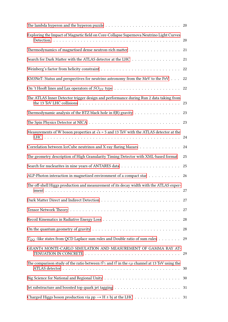| The lambda hyperon and the hyperon puzzle $\dots \dots \dots \dots \dots \dots \dots \dots \dots \dots \dots$       |    |
|---------------------------------------------------------------------------------------------------------------------|----|
| Exploring the Impact of Magnetic field on Core-Collapse Supernova Neutrino Light Curves                             | 20 |
|                                                                                                                     | 21 |
| Search for Dark Matter with the ATLAS detector at the LHC                                                           | 21 |
|                                                                                                                     | 22 |
| KM3NeT: Status and perspectives for neutrino astronomy from the MeV to the PeV                                      | 22 |
|                                                                                                                     | 22 |
| The ATLAS Inner Detector trigger design and performance during Run 2 data taking from                               |    |
| Thermodynamic analysis of the BTZ black hole in $f(R)$ gravity $\dots \dots \dots \dots \dots$                      | 23 |
|                                                                                                                     | 23 |
| Measurements of W boson properties at $\sqrt{s}$ = 5 and 13 TeV with the ATLAS detector at the                      | 24 |
| Correlation between IceCube neutrinos and X-ray flaring blazars                                                     | 24 |
| The geometry description of High Granularity Timing Detector with XML-based format                                  | 25 |
|                                                                                                                     | 25 |
| ALP-Photon interaction in magnetized environment of a compact star                                                  | 26 |
| The off-shell Higgs production and measurement of its decay width with the ATLAS exper-                             |    |
|                                                                                                                     |    |
|                                                                                                                     | 27 |
|                                                                                                                     | 28 |
|                                                                                                                     | 28 |
| $T_{OO}$ -like states from QCD Laplace sum rules and Double ratio of sum rules                                      | 29 |
| GEANT4 MONTE-CARLO SIMULATION AND MEASUREMENT OF GAMMA RAY AT-                                                      |    |
| The comparison study of the ratio between $t\bar{t}\gamma$ and $t\bar{t}$ in the $e\mu$ channel at 13 TeV using the |    |
|                                                                                                                     |    |
|                                                                                                                     |    |
|                                                                                                                     |    |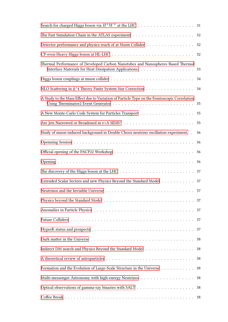| Search for charged Higgs boson via $H^{\pm}W^{\mp}$ at the LHC 31                                                        |    |
|--------------------------------------------------------------------------------------------------------------------------|----|
|                                                                                                                          | 32 |
| Detector performance and physics reach of at Muon Collider                                                               | 32 |
|                                                                                                                          |    |
| Thermal Performance of Developed Carbon Nanotubes and Nanospheres Based Thermal                                          |    |
| Higgs boson couplings at muon collider $\ldots \ldots \ldots \ldots \ldots \ldots \ldots \ldots \ldots \ldots \ldots$ 34 |    |
| NLO Scattering in φ <sup>^4</sup> Theory Finite System Size Correction                                                   | 34 |
| A Study to the Mass Effect due to Variation of Particle Type on the Femtoscopic Correlation                              |    |
|                                                                                                                          | 35 |
|                                                                                                                          | 35 |
| Study of muon-induced background in Double Chooz neutrino oscillation experiment. .                                      | 36 |
|                                                                                                                          | 36 |
|                                                                                                                          | 36 |
|                                                                                                                          | 36 |
|                                                                                                                          | 37 |
| Extended Scalar Sectors and new Physics Beyond the Standard Model                                                        | 37 |
|                                                                                                                          |    |
|                                                                                                                          |    |
|                                                                                                                          | 37 |
|                                                                                                                          | 37 |
|                                                                                                                          | 37 |
|                                                                                                                          | 38 |
| Indirect DM search and Physics Beyond the Standard Model                                                                 | 38 |
|                                                                                                                          | 38 |
| Formation and the Evolution of Large-Scale Structure in the Universe                                                     | 38 |
|                                                                                                                          | 38 |
|                                                                                                                          |    |
|                                                                                                                          |    |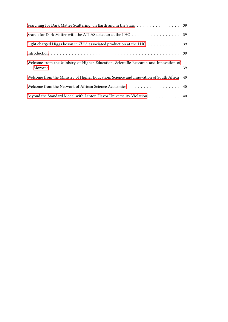| Searching for Dark Matter Scattering, on Earth and in the Stars 39                       |  |
|------------------------------------------------------------------------------------------|--|
| Search for Dark Matter with the ATLAS detector at the LHC 39                             |  |
| Light charged Higgs boson in $H^{\pm}h$ associated production at the LHC 39              |  |
|                                                                                          |  |
| Welcome from the Ministry of Higher Education, Scientific Research and Innovation of     |  |
| Welcome from the Ministry of Higher Education, Science and Innovation of South Africa 40 |  |
| Welcome from the Network of African Science Academies 40                                 |  |
| Beyond the Standard Model with Lepton Flavor Universality Violation 40                   |  |
|                                                                                          |  |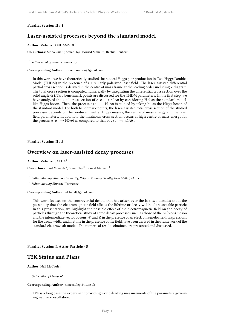### <span id="page-8-0"></span>**Parallel Session II** / **1**

# **Laser-assisted processes beyond the standard model**

**Author:** Mohamed OUHAMMOU<sup>1</sup>

**Co-authors:** Moha Ouali ; Souad Taj ; Bouzid Manaut ; Rachid Benbrik

1 *sultan moulay slimane university*

**Corresponding Author:** mh.ouhammou@gmail.com

In this work, we have theoretically studied the neutral Higgs pair production in Two Higgs Doublet Model (THDM) in the presence of a circularly polarized laser field. The laser-assisted differential partial cross section is derived in the centre of mass frame at the leading order including Z diagram. The total cross section is computed numerically by integrating the differential cross section over the solid angle dΩ. Two benchmark points are discussed for the THDM parameters. In the first step, we have analyzed the total cross section of e+e−  $\rightarrow$  h0A0 by considering H 0 as the standard modellike Higgs boson. Then, the process e+e− → H0A0 is studied by taking h0 as the Higgs boson of the standard model. For both benchmark points, the laser-assisted total cross section of the studied processes depends on the produced neutral Higgs masses, the centre of mass energy and the laser field parameters. In addition, the maximum cross section occurs at high centre of mass energy for the process e+e− → H0A0 as compared to that of e+e− → h0A0 .

<span id="page-8-1"></span>**Parallel Session II** / **2**

### **Overview on laser-assisted decay processes**

Author: Mohamed JAKHA<sup>1</sup>

Co-authors: Said Mouslih<sup>2</sup>; Souad Taj<sup>2</sup>; Bouzid Manaut<sup>2</sup>

1 *Sultan Moulay Slimane University, Polydisciplinary Faculty, Beni Mellal, Morocco*

2 *Sultan Moulay Slimane University*

#### **Corresponding Author:** jakhatal@gmail.com

This work focuses on the controversial debate that has arisen over the last two decades about the possibility that the electromagnetic field affects the lifetime or decay width of an unstable particle. In this presentation, we highlight the possible effect of the electromagnetic field on the decay of particles through the theoretical study of some decay processes such as those of the pi (pion) meson and the intermediate vector bosons *W* and *Z* in the presence of an electromagnetic field. Expressions for the decay width and lifetime in the presence of the field have been derived in the framework of the standard electroweak model. The numerical results obtained are presented and discussed.

<span id="page-8-2"></span>**Parallel Session I, Astro-Particle** / **5**

### **T2K Status and Plans**

Author: Neil McCauley<sup>1</sup>

<sup>1</sup> *University of Liverpool*

#### **Corresponding Author:** n.mccauley@liv.ac.uk

T2K is a long baseline experiment providing world-leading measurements of the parameters governing neutrino oscillation.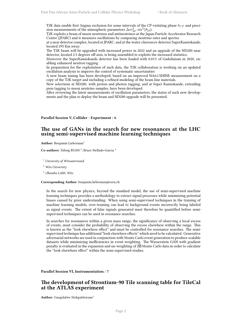T2K data enable first 3sigma exclusion for some intervals of the CP-violating phase *δCP* and precision measurements of the atmospheric parameters  $\Delta m^2_{32}$ ,  $\sin^2(\theta_{23})$ .

T2K exploits a beam of muon neutrinos and antineutrinos at the Japan Particle Accelerator Research Centre (JPARC) and it measures oscillations by comparing neutrino rates and spectra

at a near detector complex, located at JPARC, and at the water-cherencov detector SuperKamiokande, located 295 Km away.

The T2K beam will be upgraded with increased power in 2022 and an upgrade of the ND280 near detector, located 2.5 degrees off-axis, is being assembled to exploits the increased statistics.

Moreover the SuperKamiokande detector has been loaded with 0.01% of Gadolinium in 2020, enabling enhanced neutron tagging.

In preparation for the exploitation of such data, the T2K collaboration is working on an updated oscillation analysis to improve the control of systematic uncertainties

A new beam tuning has been developed, based on an improved NA61/SHINE measurement on a copy of the T2K target and including a refined modeling of the beam line materials.

New selections at ND280, with proton and photon tagging, and at Super Kamiokande, extending pion tagging to muon neutrino samples, have been developed.

After reviewing the latest measurements of oscillation parameters, the status of such new developments and the plan to deploy the beam and ND280 upgrade will be presented.

### <span id="page-9-0"></span>**Parallel Session V, Collider - Experiment** / **6**

### **The use of GANs in the search for new resonances at the LHC using semi-supervised machine learning techniques**

Author: Benjamin Lieberman<sup>1</sup>

Co-authors: Xifeng RUAN<sup>2</sup>; Bruce Mellado-Garcia<sup>3</sup>

<sup>1</sup> *University of Witwatersrand*

<sup>2</sup> *Wits University*

3 *iThemba LABS, Wits*

**Corresponding Author:** benjamin.lieberman@cern.ch

In the search for new physics, beyond the standard model, the use of semi-supervised machine learning techniques provides a methodology to extract signal processes while minimizing potential biases caused by prior understanding. When using semi-supervised techniques in the training of machine learning models, over-training can lead to background events incorrectly being labeled as signal events. The extent of false signals generated must therefore be quantified before semisupervised techniques can be used in resonance searches.

In searches for resonances within a given mass range, the significance of observing a local excess of events, must consider the probability of observing the excess elsewhere within the range. This is known as the "look elsewhere effect" and must be controlled for resonance searches. The semisupervised technique has additional "look elsewhere effects" which need to be calculated. Generative adversarial networks are used in conjunction with Monte Carlo event generation to produce scalable datasets while minimizing inefficiencies in event weighting. The Wasserstein GAN with gradient penalty is evaluated in the expansion and un-weighting of Z $\boxtimes$  Monte Carlo data in order to calculate the "look elsewhere effect" within the semi-supervised studies.

<span id="page-9-1"></span>**Parallel Session VI, Instrumentation** / **7**

### **The development of Strontium-90 Tile scanning table for TileCal at the ATLAS experiment**

Author: Gaogalalwe Mokgatitswane<sup>1</sup>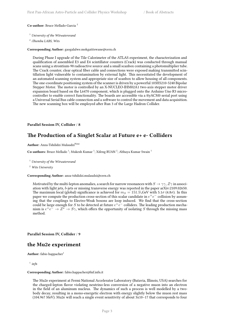**Co-author:** Bruce Mellado-Garcia <sup>2</sup>

<sup>1</sup> *University of the Witwatersrand*

2 *iThemba LABS, Wits*

**Corresponding Author:** gaogalalwe.mokgatitswane@cern.ch

During Phase I upgrade of the Tile Calorimeter of the ATLAS experiment, the characterization and qualification of assembled E3 and E4 scintillator counters (Crack) was conducted through manual scans using a strontium-90 radioactive source and a small scanbox containing a photomultiplier tube. The Crack counter, clear optical fiber cable and connections were exposed making transmitted scintillation light vulnerable to contamination by external light. This necessitated the development of an automated scanning system and appropriate size of scanbox to allow housing of all components. The one-coordinate positioning system of the scanner is driven by a powerful 103H5210-5240 Bipolar Stepper Motor. The motor is controlled by an X-NUCLEO-IHM02A1 two-axis stepper motor driver expansion board based on the L6470 component, which is plugged onto the Arduino Uno R3 microcontroller to enable correct functionality. The boards are accessible via a ttyACM0 serial port using a Universal Serial Bus cable connection and a software to control the movement and data acquisition. The new scanning box will be employed after Run 3 of the Large Hadron Collider.

### <span id="page-10-0"></span>**Parallel Session IV, Collider** / **8**

### **The Production of a Singlet Scalar at Future e+ e- Colliders**

Author: Anza-Tshilidzi Mulaudzi<sup>None</sup>

Co-authors: Bruce Mellado<sup>1</sup>; Mukesh Kumar<sup>1</sup>; Xifeng RUAN<sup>2</sup>; Abhaya Kumar Swain<sup>1</sup>

<sup>1</sup> *University of the Witwatersrand*

<sup>2</sup> *Wits University*

**Corresponding Author:** anza-tshilidzi.mulaudzi@cern.ch

Motivated by the multi-lepton anomalies, a search for narrow resonances with  $S \to \gamma \gamma$ ,  $Z\gamma$  in association with light jets, *b*-jets or missing transverse energy was reported in the paper arXiv:2109.02650. The maximum local (global) significance is achieved for  $m<sub>S</sub> = 151.5$ , GeV with 5.1*σ* (4.8*σ*). In this paper we compute the production cross-section of this scalar candidate in  $e^+e^-$  collision by assuming that the couplings to Electro-Weak bosons are loop induced. We find that the cross-section could be large enough for *S* to be detected at future  $e^+e^-$  colliders. The leading production mechanism is  $e^+e^- \to Z^* \to S\gamma$ , which offers the opportunity of isolating *S* through the missing mass method.

<span id="page-10-1"></span>**Parallel Session IV, Collider** / **9**

### **the Mu2e experiment**

Author: fabio happacher<sup>1</sup>

1 *infn*

#### **Corresponding Author:** fabio.happacher@lnf.infn.it

The Mu2e experiment at Fermi National Accelerator Laboratory (Batavia, Illinois, USA) searches for the charged-lepton flavor violating neutrino-less conversion of a negative muon into an electron in the field of an aluminum nucleus. The dynamics of such a process is well modelled by a twobody decay, resulting in a mono-energetic electron with energy slightly below the muon rest mass (104.967 MeV). Mu2e will reach a single event sensitivity of about 3x10−17 that corresponds to four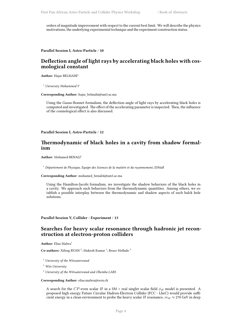orders of magnitude improvement with respect to the current best limit. We will describe the physics motivations, the underlying experimental technique and the experiment construction status.

<span id="page-11-0"></span>**Parallel Session I, Astro-Particle** / **10**

### **Deflection angle of light rays by accelerating black holes with cosmological constant**

Author: Hajar BELMAHI<sup>1</sup>

<sup>1</sup> *University Mohammed V*

**Corresponding Author:** hajar\_belmahi@um5.ac.ma

Using the Gauss-Bonnet formalism, the deflection angle of light rays by accelerating black holes is computed and investigated. The effect of the accelerating parameter is inspected. Then, the influence of the cosmological effect is also discussed.

<span id="page-11-1"></span>**Parallel Session I, Astro-Particle** / **12**

### **Thermodynamic of black holes in a cavity from shadow formalism**

**Author:** Mohamed BENALI<sup>1</sup>

<sup>1</sup> *Département de Physique, Equipe des Sciences de la matière et du rayonnement, ESMaR*

**Corresponding Author:** mohamed\_benali4@um5.ac.ma

Using the Hamilton-Jacobi formalism, we investigate the shadow behaviors of the black holes in a cavity. We approach such behaviors from the thermodynamic quantities. Among others, we establish a possible interplay between the thermodynamic and shadow aspects of such balck hole solutions.

### <span id="page-11-2"></span>**Parallel Session V, Collider - Experiment** / **13**

### **Searches for heavy scalar resonance through hadronic jet reconstruction at electron-proton colliders**

Author: Elias Malwa<sup>1</sup>

Co-authors: Xifeng RUAN<sup>2</sup>; Mukesh Kumar<sup>1</sup>; Bruce Mellado<sup>3</sup>

<sup>1</sup> *University of the Witwatersrand*

<sup>2</sup> *Wits University*

<sup>3</sup> *University of the Witwatersrand and iThemba LABS*

**Corresponding Author:** elias.malwa@cern.ch

A search for the *CP*-even scalar *H* in a SM + real singlet scalar field *ϕ<sup>H</sup>* model is presented. A proposed high energy Future Circular Hadron-Electron Collider (FCC - LheC) would provide sufficient energy in a clean environment to probe the heavy scalar *H* resonance,  $m_H \approx 270$  GeV in deep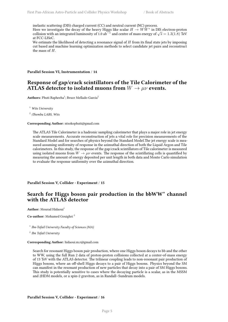inelastic scattering (DIS) charged current (CC) and neutral current (NC) process.

Here we investigate the decay of the heavy Higgs like scalar  $H \to WW^*$  in DIS electron-proton collision with an integrated luminosity of 1.0 ab*−*<sup>1</sup> and centre of mass energy of *√ s* = 1*.*3(1*.*8) TeV at FCC-LHeC.

We estimate the likelihood of detecting a resonance signal of *H* from its final state jets by imposing cut based and machine learning optimization methods to select candidate jet pairs and reconstruct the mass of *H*.

<span id="page-12-0"></span>**Parallel Session VI, Instrumentation** / **14**

# **Response of gap/crack scintillators of the Tile Calorimeter of the ATLAS detector to isolated muons from**  $W \to \mu \nu$  events.

Authors: Phuti Rapheeha<sup>1</sup>; Bruce Mellado-Garcia<sup>2</sup>

<sup>1</sup> *Wits University*

2 *iThemba LABS, Wits*

#### **Corresponding Author:** ntsokophuti@gmail.com

The ATLAS Tile Calorimeter is a hadronic sampling calorimeter that plays a major role in jet energy scale measurements. Accurate reconstruction of jets a vital role for precision measurements of the Standard Model and for searches of physics beyond the Standard Model.The jet energy scale is measured assuming uniformity of response in the azimuthal direction of both the Liquid Argon and Tile calorimeters. In this study, the response of the gap/crack scintillators of Tile calorimeter is measured using isolated muons from  $W \to \mu \nu$  events. The response of the scintillating cells is quantified by measuring the amount of energy deposited per unit length in both data and Monte Carlo simulation to evaluate the response uniformity over the azimuthal direction.

### <span id="page-12-1"></span>**Parallel Session V, Collider - Experiment** / **15**

### **Search for Higgs boson pair production in the bbWW\* channel with the ATLAS detector**

**Author:** Mourad Hidaoui<sup>1</sup>

**Co-author:** Mohamed Gouighri <sup>2</sup>

1 *Ibn-Tofail University Faculty of Sciences (MA)*

2 *Ibn Tofail University*

#### **Corresponding Author:** hidaoui.m.r@gmail.com

Search for resonant Higgs boson pair production, where one Higgs boson decays to bb and the other to WW, using the full Run 2 data of proton-proton collisions collected at a center-of-mass energy of 13 TeV with the ATLAS detector. The trilinear coupling leads to non-resonant pair production of Higgs bosons, where an off-shell Higgs decays to a pair of Higgs bosons. Physics beyond the SM can manifest in the resonant production of new particles that decay into a pair of SM Higgs bosons. This study is potentially sensitive to cases where the decaying particle is a scalar, as in the MSSM and 2HDM models, or a spin-2 graviton, as in Randall–Sundrum models.

### <span id="page-12-2"></span>**Parallel Session V, Collider - Experiment** / **16**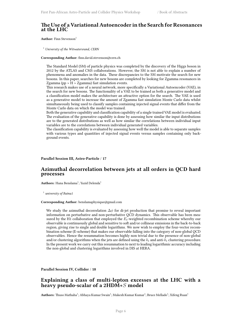### **The Use of a Variational Autoencoder in the Search for Resonances at the LHC**

**Author:** Finn Stevenson<sup>1</sup>

<sup>1</sup> *University of the Witwatersrand, CERN*

**Corresponding Author:** finn.david.stevenson@cern.ch

The Standard Model (SM) of particle physics was completed by the discovery of the Higgs boson in 2012 by the ATLAS and CMS collaborations. However, the SM is not able to explain a number of phenomena and anomalies in the data. These discrepancies to the SM motivate the search for new bosons. In this paper, searches for new bosons are completed by looking for Zgamma resonances in Zgamma ( $pp > H > Zgamma$ ) fast simulation events.

This research makes use of a neural network, more specifically a Variational Autoencoder (VAE), in the search for new bosons. The functionality of a VAE to be trained as both a generative model and a classification model makes the architecture an attractive option for the search. The VAE is used as a generative model to increase the amount of Zgamma fast simulation Monte Carlo data whilst simultaneously being used to classify samples containing injected signal events that differ from the Monte Carlo data on which the model was trained.

Both the generative capability and classification capability of a single trained VAE model is evaluated. The evaluation of the generative capability is done by assessing how similar the input distributions are to the generated distributions as well as how similar the correlations between individual input variables are to the correlations between individual generated variables.

The classification capability is evaluated by assessing how well the model is able to separate samples with various types and quantities of injected signal events versus samples containing only background events.

### <span id="page-13-0"></span>**Parallel Session III, Astro-Particle** / **17**

### **Azimuthal decorrelation between jets at all orders in QCD hard processes**

 $\mathbf{Aut}$ **hors:** Hana Benslama<sup>1</sup>; Yazid Delenda<sup>1</sup>

1 *university of Batna1*

### **Corresponding Author:** benslamaphysique@gmail.com

We study the azimuthal decorrelation ∆*ϕ* for di-jet production that promise to reveal important information on perturbative and non-perturbative QCD dynamics. This observable has been measured by the H1 collaboration that employed the *Et*-weighted recombination scheme whereby our observable is continuously global and sensitive to soft and/or collinear emissions in the back-to-back region, giving rise to single and double logarithms. We now wish to employ the four-vector recombination scheme (E-scheme) that makes our observable falling into the category of non-global QCD observables. Hence the resummation becomes highly non trivial due to the presence of non-global and/or clustering algorithms when the jets are defined using the *k<sup>t</sup>* and anti-*k<sup>t</sup>* clustering procedure. In the present work we carry out this resummation to next to leading logarithmic accuracy including the non-global and clustering logarithms involved in DIS at HERA.

### <span id="page-13-1"></span>**Parallel Session IV, Collider** / **18**

# **Explaining a class of multi-lepton excesses at the LHC with a heavy pseudo-scalar of a 2HDM+***S* **model**

 ${\bf Authors:}$  Thuso Mathaha<sup>1</sup>; Abhaya Kumar Swain<sup>1</sup>; Mukesh Kumar Kumar<sup>1</sup>; Bruce Mellado<sup>1</sup>; Xifeng Ruan<sup>1</sup>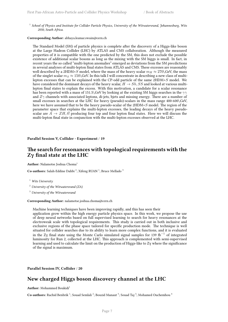<sup>1</sup> School of Physics and Institute for Collider Particle Physics, University of the Witwatersrand, Johannesburg, Wits *2050, South Africa.*

#### **Corresponding Author:** abhaya.kumar.swain@cern.ch

The Standard Model (SM) of particle physics is complete after the discovery of a Higgs-like boson at the Large Hadron Collider (LHC) by ATLAS and CMS collaboration. Although the measured properties of it is compatible with the one predicted by the SM, this does not exclude the possible existence of additional scalar bosons as long as the mixing with the SM higgs is small. In fact, in recent years the so called "multi-lepton anomalies" emerged as deviations from the SM precdictions in several analyses of multi-lepton final states from ATLAS and CMS. These excesses are reasonably well described by a 2HDM+*S* model, where the mass of the heavy scalar  $m_H \approx 270$ , GeV, the mass of the singlet scalar  $m<sub>S</sub> \approx 150$ . GeV. In this talk I will concentrate in describing a new class of multilepton excesses that can be explained with the CP-odd particle of the same 2HDM+*S* model. We have considered the dominant decays of the heavy scalar,  $H \rightarrow Sh, SS$  and looked at various multilepton final states to explain the excess. With this motivation, a candidate for a scalar resonance has been reported with a mass of 151.5\,GeV by looking at the existing SM higgs searches in the *γγ* and *Zγ* channels with associated leptons, di-jets, bjets and missing energy. There are a number of small excesses in searches at the LHC for heavy (pseudo)-scalars in the mass range 400-600\,GeV, here we have assumed that to be the heavy pseudo-scalar of the 2HDM+*S* model. The region of the parameter space that explains the multi-lepton excesses, the leading decays of the heavy pseudoscalar are  $A \to ZH$ ,  $t\bar{t}$  producing four top and four lepton final states. Here we will discuss the multi-lepton final state in conjunction with the multi-lepton excesses observed at the LHC.

### <span id="page-14-0"></span>**Parallel Session V, Collider - Experiment** / **19**

### **The search for resonances with topological requirements with the Zγ final state at the LHC**

Author: Nalamotse Joshua Choma<sup>1</sup>

Co-authors: Salah-Eddine Dahbi<sup>2</sup>; Xifeng RUAN<sup>1</sup>; Bruce Mellado<sup>3</sup>

<sup>1</sup> *Wits University*

<sup>2</sup> *University of the Witwatersrand (ZA)*

<sup>3</sup> *University of the Witwatersrand*

#### **Corresponding Author:** nalamotse.joshua.choma@cern.ch

Machine learning techniques have been improving rapidly, and this has seen their

application grow within the high energy particle physics space. In this work, we propose the use of deep neural networks based on full supervised learning to search for heavy resonances at the electroweak scale with topological requirements. This study is carried out in both inclusive and exclusive regions of the phase space tailored for specific production mode. The technique is well situated for collider searches due to its ability to learn more complex functions, and it is evaluated in the Zγ final state using the Monte Carlo simulated signal samples for 139 fb*−*<sup>1</sup> of integrated luminosity for Run 2, collected at the LHC. This approach is complemented with semi-supervised learning and used to calculate the limit on the production of Higgs-like to Zγ where the significance of the signal is maximum.

<span id="page-14-1"></span>**Parallel Session IV, Collider** / **20**

# **New charged Higgs boson discovery channel at the LHC**

Author: Mohammed Boukidi<sup>1</sup>

Co-authors: Rachid Benbrik <sup>1</sup>; Souad Semlali <sup>2</sup>; Bouzid Manaut <sup>3</sup>; Souad Taj <sup>3</sup>; Mohamed Ouchemhou <sup>4</sup>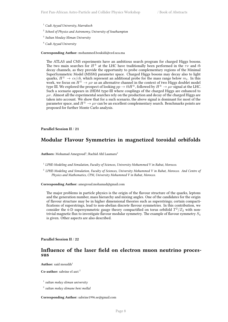- <sup>1</sup> *Cadi Ayyad University, Marrakech*
- 2 *School of Physics and Astronomy, University of Southampton*
- 3 *Sultan Moulay Sliman University*
- <sup>4</sup> *Cadi Ayyad University*

**Corresponding Author:** mohammed.boukidi@ced.uca.ma

The ATLAS and CMS experiments have an ambitious search program for charged Higgs bosons. The two main searches for *H<sup>±</sup>* at the LHC have traditionally been performed in the *τν* and *tb* decay channels, as they provide the opportunity to probe complementary regions of the Minimal SuperSymmetric Model (MSSM) parameter space. Charged Higgs bosons may decay also to light quarks,  $H^{\pm} \rightarrow cs/cb$ , which represent an additional probe for the mass range below  $m_t$ . In this work, we focus on  $H^{\pm} \to \mu \nu$  as an alternative channel in the context of two Higgs doublet model type III. We explored the prospect of looking  $pp \to tbH^\pm$ , followed by  $H^\pm \to \mu \nu$  signal at the LHC.<br>Such a scenario appears in 2HDM type-III where couplings of the charged Higgs are enhanced to  $\mu\nu$ . Almost all the experimental searches rely on the production and decay of the charged Higgs are taken into account. We show that for a such scenario, the above signal is dominant for most of the parameter space, and  $H^{\pm} \rightarrow \mu \nu$  can be an excellent complementary search. Benchmarks points are proposed for further Monte Carlo analysis.

### <span id="page-15-0"></span>**Parallel Session II** / **21**

### **Modular Flavour Symmetries in magnetized toroidal orbifolds**

Authors: Mohamad Amegroud<sup>1</sup>; Rachid Ahl Laamara<sup>2</sup>

1 *LPHE-Modeling and Simulation, Faculty of Sciences, University Mohammed V in Rabat, Morocco.*

2 *LPHE-Modeling and Simulation, Faculty of Sciences, University Mohammed V in Rabat, Morocco. And Centre of Physics and Mathematics, CPM, University Mohammed V in Rabat, Morocco.*

**Corresponding Author:** amegroud.mohamad@gmail.com

The major problems in particle physics is the origin of the flavour structure of the quarks, leptons and the generation number, mass hierarchy and mixing angles. One of the candidates for the origin of flavour structure may be in higher dimensional theories such as superstrings; certain compactifications of superstrings, lead to non-abelian discrete flavour symmetries. In this contribution, we consider the 6-D supersymmetric gauge theory compactified on torus orbifold  $T^2/Z_2$  with nontrivial magnetic flux to investigate flavour modular symmetry. The example of flavour symmetry *S*<sup>4</sup> is given. Other aspects are also described.

<span id="page-15-1"></span>**Parallel Session II** / **22**

### **Influence of the laser field on electron muon neutrino processus**

**Author:** said mouslih<sup>1</sup>

**Co-author:** sabrine el asri <sup>2</sup>

- 1 *sultan molay sliman university*
- 2 *sultan molay slimane beni mellal*

**Corresponding Author:** sabrine1996.se@gmail.com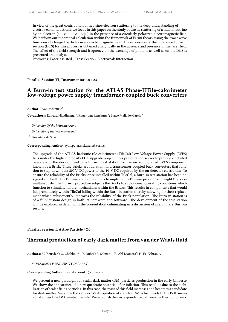In view of the great contribution of neutrino-electron scattering to the deep understanding of electroweak interactions, we focus in this paper on the study of elastic scattering of a muon neutrino by an electron (e – ν μ → e – ν μ ) in the presence of a circularly polarized electromagnetic field. We perform our theoretical calculation within the framework of Fermi theory using the exact wave functions of charged particles in an electromagnetic field. The expression of the differential cross section (DCS) for this process is obtained analytically in the absence and presence of the laser field. The effect of the field strength and frequency on the exchange of photons as well as on the DCS is presented and analyzed.

keywords: Laser-assisted , Cross Section, Electrweak Interaction

<span id="page-16-0"></span>**Parallel Session VI, Instrumentation** / **23**

### **A Burn-in test station for the ATLAS Phase-IITile-calorimeter low-voltage power supply transformer-coupled buck converters**

**Author:** Ryan Mckenzie<sup>1</sup>

Co-authors: Edward Nkadimeng <sup>2</sup>; Roger van Rensburg <sup>2</sup>; Bruce Mellado-Garcia <sup>3</sup>

<sup>1</sup> *University Of the Witwatersrand*

<sup>2</sup> *University of the Witwatersrand*

3 *iThemba LABS, Wits*

**Corresponding Author:** ryan.peter.mckenzie@cern.ch

The upgrade of the ATLAS hadronic tile-calorimeter (TileCal) Low-Voltage Power Supply (LVPS) falls under the high-luminosity LHC upgrade project. This presentation serves to provide a detailed overview of the development of a Burn-in test station for use on an upgraded LVPS component known as a Brick. These Bricks are radiation hard transformer-coupled buck converters that function to step-down bulk 200 V DC power to the 10 V DC required by the on-detector electronics. To ensure the reliability of the Bricks, once installed within TileCal, a Burn-in test station has been designed and built. The Burn-in station functions to implement a Burn-in procedure on eight Bricks simultaneously. The Burn-in procedure subjects the Bricks to sub-optimal operating conditions which function to stimulate failure mechanisms within the Bricks. This results in components that would fail prematurely within TileCal failing within the Burn-in station thereby allowing for their replacement which subsequently improves the reliability of the Brick population. The Burn-in station is of a fully custom design in both its hardware and software. The development of the test station will be explored in detail with the presentation culminating in a discussion of preliminary Burn-in results.

### <span id="page-16-1"></span>**Parallel Session I, Astro-Particle** / **24**

### **Thermal production of early dark matter from van derWaals fluid**

Authors: M. Bousder<sup>1</sup>; O. Chahboun<sup>1</sup>; Y. Ouhti<sup>1</sup>; E. Salmani<sup>1</sup>; R. Ahl Laamara<sup>1</sup>; H. Ez-Zahraouy<sup>1</sup>

<sup>1</sup> *MOHAMMED V UNIVERSITY IN RABAT*

#### **Corresponding Author:** mostafa.bousder@gmail.com

We present a new paradigm for scalar dark matter (DM) particles production in the early Universe. We show the appearance of a new quadratic potential after inflation. This result is due to the stabilization of scalar fields particles. In this case, the mass of this field increases and becomes a candidate for dark matter. We show the van der Waals equation of state for DM, which leads to the Boltzmann equation and the DM number density. We establish the correspondence between the thermodynamic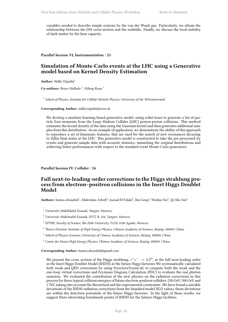variables needed to describe simple systems by the van der Waals gas. Particularly, we obtain the relationship between the DM cross-section and the redshifts. Finally, we discuss the local stability of dark matter by the heat capacity.

<span id="page-17-0"></span>**Parallel Session VI, Instrumentation** / **25**

# **Simulation of Monte-Carlo events at the LHC using a Generative model based on Kernel Density Estimation**

Author: Nidhi Tripathi<sup>1</sup>

**Co-authors:** Bruce Mellado<sup>1</sup>; Xifeng Ruan<sup>1</sup>

<sup>1</sup> School of Physics, Institute for Collider Particle Physics, University of the Witwatersrana

**Corresponding Author:** nidhi.tripathi@cern.ch

We develop a machine learning-based generative model, using scikit-learn to generate a list of particle four-momenta from the Large Hadron Collider (LHC) proton-proton collisions. This method estimates the kernel density of the data using the Gaussian kernel and then generates additional samples from this distribution. As an example of application, we demonstrate the ability of this approach to reproduce a set of kinematic features, that are used for the search of new resonances decaying to Z(ll)γ final states at the LHC. This generative model is constructed to take the pre-processed Zγ events and generate sample data with accurate statistics, mimicking the original distributions and achieving better performances with respect to the standard event Monte-Carlo generators.

<span id="page-17-1"></span>**Parallel Session IV, Collider** / **26**

# **Full next-to-leading-order corrections to the Higgs strahlung process from electron–positron collisions in the Inert Higgs Doublet Model**

 $\bf{Authors:}$  hamza abouabid $^1;$  Abdesslam Arhrib $^2;$  Jaouad El Falaki $^3;$  Bin Gong $^4;$  Wenhai Xie $^5;$  Qi-Shu Yan $^6$ 

- <sup>1</sup> *Université AbdelMalek Essaadi, Tangier, Morocco*
- <sup>2</sup> *Université Abdelmalek Essaadi, FSTT, B. 416, Tangier, Morocco*
- 3 *EPTHE, Faculty of Science, Ibn Zohr University, P.O.B. 8106 Agadir, Morocco.*
- <sup>4</sup> *Theory Division, Institute of High Energy Physics, Chinese Academy of Sciences, Beijing 100049, China.*
- 5 *School of Physics Sciences, University of Chinese Academy of Sciences, Beijing 100049, China.*
- <sup>6</sup> *Center for Future High Energy Physics, Chinese Academy of Sciences, Beijing 100049, China.*

**Corresponding Author:** hamza.abouabid@gmail.com

We present the cross section of the Higgs strahlung,  $e^+e^- \rightarrow hZ^0$ , at the full next-leading order in the Inert Higgs Doublet Model (IHDM) at the future Higgs factories We systematically calculated both weak and QED corrections by using FeynArts/FormCalc to compute both the weak and the one-loop virtual corrections and Feynman Diagram Calculation (FDC) to evaluate the real photon emission. We evaluated the contribution of the new physics on the radiation corrections in this process for three typical collision energies of future electron-positron colliders :250 GeV, 500 GeV and 1 TeV, taking into account the theoretical and the experimental constraints. We have found a sizeable deviations of the IHDM radiation corrections from the Standard model NLO values, those deviations are within the detection potentials of the future Higgs factories. In the light of these results, we suggest three interesting benchmark points of IHDM for the futures Higgs facilities.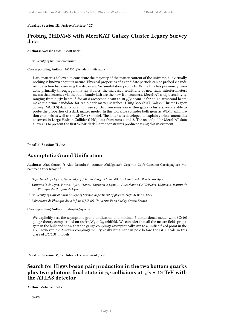### <span id="page-18-0"></span>**Parallel Session III, Astro-Particle** / **27**

# **Probing 2HDM+S with MeerKAT Galaxy Cluster Legacy Survey data**

**Authors:** Natasha Lavis<sup>1</sup>; Geoff Beck<sup>1</sup>

<sup>1</sup> *University of the Witwatersrand*

#### **Corresponding Author:** 1603551@students.wits.ac.za

Dark matter is believed to constitute the majority of the matter content of the universe, but virtually nothing is known about its nature. Physical properties of a candidate particle can be probed via indirect detection by observing the decay and/or annihilation products. While this has previously been done primarily through gamma-ray studies, the increased sensitivity of new radio interferometers means that searches via the radio bandwidth are the new frontrunners. MeerKAT's high sensitivity, ranging from 3 *µ*Jy beam*−*<sup>1</sup> for an 8 arcsecond beam to 10 *µ*Jy beam*−*<sup>1</sup> for an 15 arcsecond beam, make it a prime candidate for radio dark matter searches. Using MeerKAT Galaxy Cluster Legacy Survey (MGCLS) data to obtain diffuse synchrotron emission within galaxy clusters, we are able to probe the properties of a dark matter model. In this work we consider both generic WIMP annihilation channels as well as the 2HDM+S model. The latter was developed to explain various anomalies observed in Large Hadron Collider (LHC) data from runs 1 and 2. The use of public MeerKAT data allows us to present the first WIMP dark matter constraints produced using this instrument.

<span id="page-18-1"></span>**Parallel Session II** / **28**

### **Asymptotic Grand Unification**

Authors: Alan Cornell<sup>1</sup>; Aldo Deandrea<sup>2</sup>; Ammar Abdalgabar<sup>3</sup>; Corentin Cot<sup>4</sup>; Giacomo Cacciapaglia<sup>2</sup>; Mohammed Omer Khojali<sup>1</sup>

- <sup>1</sup> *Department of Physics, University of Johannesburg, PO Box 524, Auckland Park 2006, South Africa*
- <sup>2</sup> *Universit ́e de Lyon, F-69622 Lyon, France: Universit ́e Lyon 1, Villeurbanne CNRS/IN2P3, UMR5822, Institut de Physique des 2 Infinis de Lyon*
- <sup>3</sup> *University of Hafr al Batin College of Science, department of physics, Hafr Al Batin, KSA*
- 4 *Laboratoire de Physique des 2 Infinis (IJCLab), Université Paris-Saclay, Orsay, France.*

**Corresponding Author:** mkhojali@uj.ac.za

We explicitly test the asymptotic grand unification of a minimal 5-dimensional model with SO(10) gauge theory compactified on an  $\bar{S}^1/Z_2 \times Z'_2$  orbifold. We consider that all the matter fields propagate in the bulk and show that the gauge couplings asymptotically run to a unified fixed point in the UV. However, the Yukawa couplings will typically hit a Landau pole before the GUT scale in this class of *SO*(10) models.

<span id="page-18-2"></span>**Parallel Session V, Collider - Experiment** / **29**

# **Search for Higgs boson pair production in the two bottom quarks plus two photons final state in**  $pp$  **collisions at**  $\sqrt{s}$  = 13 TeV with **the ATLAS detector**

Author: Mohamed Belfkir<sup>1</sup>

<sup>1</sup> *UAEU*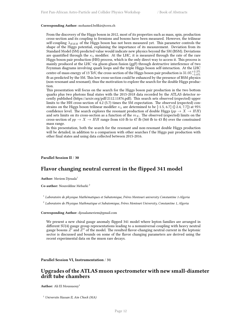#### **Corresponding Author:** mohamed.belfkir@cern.ch

From the discovery of the Higgs boson in 2012, most of its properties such as mass, spin, production cross-section and its coupling to fermions and bosons have been measured. However, the trilinear self-coupling  $\lambda_{HHH}$  of the Higgs boson has not been measured yet. This parameter controls the shape of the Higgs potential, explaining the importance of its measurement. Deviation from its Standard Model (SM) predicted value would indicate new physics beyond the SM (BSM). Deviations are quantified through the  $\kappa_{\lambda}$  modifier. At the LHC, it is measured through the rate of the rare Higgs boson pair production (HH) process, which is the only direct way to access it. This process is mainly produced at the LHC via gluon-gluon fusion (ggF) through destructive interference of two Feynman diagrams involving quark loops and the triple Higgs boson self-interaction. At the LHC  $\frac{1}{2}$  centre-of-mass energy of 13 TeV, the cross-section of the Higgs boson pair production is  $31.05^{+2.2\%}_{-5.0\%}$ fb as predicted by the SM. This low cross-section could be enhanced by the presence of BSM physics (non-resonant and resonant), thus the motivation to explore the search for the double Higgs production.

This presentation will focus on the search for the Higgs boson pair production in the two bottom quarks plus two photons final states with the 2015-2018 data recorded by the ATLAS detector recently published (https://arxiv.org/pdf/2112.11876.pdf). This search sets observed (expected) upper limits to the HH cross-section of 4.2 (5.7) times the SM expectation. The observed (expected) constrains on the Higgs boson trilinear modifier  $\kappa_{\lambda}$  are determined to be [-1.5, 6.7] ([-2.4, 7.7]) at 95% confidence level. The search explores the resonant production of double Higgs ( $pp \rightarrow X \rightarrow HH$ ) and sets limits on its cross-section as a function of the  $m<sub>X</sub>$ . The observed (expected) limits on the cross-section of  $pp \rightarrow X \rightarrow HH$  range from 610 fb to 47 fb (360 fb to 43 fb) over the constrained mass range.

In this presentation, both the search for the resonant and non-resonant double Higgs production will be detailed, in addition to a comparison with other searches f the Higgs pair production with other final states and using data collected between 2015-2016.

### <span id="page-19-0"></span>**Parallel Session II** / **30**

### **Flavor changing neutral current in the flipped 341 model**

**Author:** Meriem Djouala<sup>1</sup>

**Co-author:** Noureddine Mebarki <sup>2</sup>

1 *Laboratoire de physique Mathématiques et Subatomique, Frères Mentouri university Constantine 1-Algeria*

2 *Laboratoire de Physique Mathmatique et Subatomique, Frères Mentouri University, Constantine 1, Algeria*

**Corresponding Author:** djoualameriem@gmail.com

We present a new chiral gauge anomaly flipped 341 model where lepton families are arranged in different SU(4) gauge group representations leading to a nonuniversal coupling with heavy neutral gauge bosons *Z ′* and *Z ′′* of the model. The resulted flavor-changing neutral current in the leptonic sector is discussed and bounds on some of the flavor changing parameters are derived using the recent experimental data on the muon rare decays.

### <span id="page-19-1"></span>**Parallel Session VI, Instrumentation** / **31**

### **Upgrades of the ATLAS muon spectrometer with new small-diameter drift tube chambers**

**Author:** Ali El Moussaouy<sup>1</sup>

<sup>1</sup> *Universite Hassan II, Ain Chock (MA)*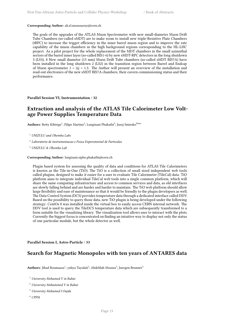### **Corresponding Author:** ali.el.moussaouy@cern.ch

The goals of the upgrades of the ATLAS Muon Spectrometer with new small-diameter Muon Drift Tube Chambers (so-called sMDT) are to make room to install new triple-Resistive Plate Chambers (tRPC) to increase the trigger efficiency in the inner barrel muon region and to improve the rate capability of the muon chambers in the high background regions corresponding to the HL-LHC project. As a pilot project for the whole replacement of the MDT chambers in the small azimuthal sectors of the barrel inner layer (so-called BIS1-6) by new sMDT-RPC detectors in the long shutdown 3 (LS3), 8 New small diameter (15 mm) Muon Drift Tube chambers (so-called sMDT BIS7A) have been installed in the long shutdown 2 (LS2) in the transition region between Barrel and Endcap of Muon spectrometer  $1 < |n| < 1.3$ . The Author will present an overview of the installation and read-out electronics of the new sMDT BIS7A chambers, their cavern commissioning status and their performance.

### <span id="page-20-0"></span>**Parallel Session VI, Instrumentation** / **32**

# **Extraction and analysis of the ATLAS Tile Calorimeter Low Voltage Power Supplies Temperature Data**

 ${\bf Authors:}$  Betty Kibirige $^1$ ; Filipe Martins $^2$ ; Lungisani Phakathi $^3$ ; Juraj Smiesko $^{\sf None}$ 

2 *Laboratorio de instrumentacao e Fisica Experemental de Particulas*

<sup>3</sup> *UNIZULU & iThemba Lab*

**Corresponding Author:** lungisani.sipho.phakathi@cern.ch

Plugin based system for assessing the quality of data and conditions for ATLAS Tile Calorimeters is known as the Tile-in-One (TiO). The TiO is a collection of small sized independent web tools called plugins, designed to make it easier for a user to evaluate Tile Calorimeter (TileCal) data. TiO platform aims to integrate individual TileCal web tools into a single common platform, which will share the same computing infrastructure and access to common services and data, as old interfaces are slowly falling behind and are harder and harder to maintain. The TiO web platform should allow large flexibility and ease of maintenance so that it would be friendly to the plugin developers as well. The Data Control System (DCS) provides temperature data through a dedicated interface called DDV. Based on the possibility to query those data, new TiO plugin is being developed under the following strategy: CentOs 8 was installed inside the virtual box to easily access CERN internal network. The DDV tool is used to query the TileDCS temperature data which are subsequently transformed to a form suitable for the visualizing library. The visualization tool allows user to interact with the plots. Currently the biggest focus is concentrated on finding an intuitive way to display not only the status of one particular module, but the whole detector as well.

<span id="page-20-1"></span>**Parallel Session I, Astro-Particle** / **33**

# **Search for Magnetic Monopoles with ten years of ANTARES data**

 ${\bf Author s:}$  Jihad Boumaaza $^1$ ; yahya Tayalati $^2$ ; Abdelilah Moussa $^3$ ; Juergen Brunner $^4$ 

<sup>1</sup> *University Mohamed V in Rabat*

- <sup>2</sup> *University Mohammed V in Rabat*
- <sup>3</sup> *University Mohamed I Oujda*
- <sup>4</sup> *CPPM*

<sup>1</sup> *UNIZULU and iThemba Labs*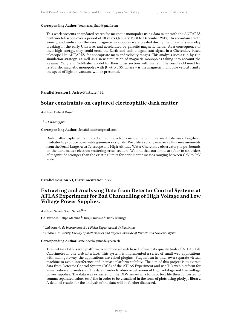#### **Corresponding Author:** boumaaza.jihad@gmail.com

This work presents an updated search for magnetic monopoles using data taken with the ANTARES neutrino telescope over a period of 10 years (January 2008 to December 2017). In accordance with some grand unification theories, magnetic monopoles were created during the phase of symmetry breaking in the early Universe, and accelerated by galactic magnetic fields. As a consequence of their high energy, they could cross the Earth and emit a significant signal in a Cherenkov-based telescope like ANTARES, for appropriate mass and velocity ranges. This analysis uses a run-by-run simulation strategy, as well as a new simulation of magnetic monopoles taking into account the Kasama, Yang and Goldhaber model for their cross section with matter. The results obtained for relativistic magnetic monopoles with  $β = v$ *c*  $≥ 0.55$ , where v is the magnetic monopole velocity and c the speed of light in vacuum, will be presented.

### **Parallel Session I, Astro-Particle** / **34**

### **Solar constraints on captured electrophilic dark matter**

Author: Debajit Bose<sup>1</sup>

1 *IIT Kharagpur*

#### **Corresponding Author:** debajitbose550@gmail.com

Dark matter captured by interaction with electrons inside the Sun may annihilate via a long-lived mediator to produce observable gamma-ray signals. We utilize solar gamma-ray flux measurements from the Fermi Large Area Telescope and High Altitude Water Cherenkov observatory to put bounds on the dark matter electron scattering cross-section. We find that our limits are four to six orders of magnitude stronger than the existing limits for dark matter masses ranging between GeV to PeV scale.

#### <span id="page-21-0"></span>**Parallel Session VI, Instrumentation** / **35**

# **Extracting and Analysing Data from Detector Control Systems at ATLAS Experiment for Bad Channelling of High Voltage and Low Voltage Power Supplies.**

**Author:** Sanele Scelo Sanele<sup>None</sup>

**Co-authors:** Filipe Martins<sup>1</sup>; Juraj Smiesko<sup>2</sup>; Betty Kibirige

1 *Laboratório de Instrumentação e Física Experimental de Partículas*

<sup>2</sup> *Charles University, Faculty of Mathematics and Physics, Institute of Particle and Nuclear Physics*

#### **Corresponding Author:** sanele.scelo.gumede@cern.ch

<span id="page-21-1"></span>Tile-in-One (TiO) is web platform to combine all web based offline data quality tools of ATLAS Tile Calorimeter in one web interface. This system is implemented a series of small web applications with main gateway, the applications are called plugins. Plugins run in thier own separate virtual machine to avoid interference and increase platform stability. The aim of this project is to extract data from Detector Control System (DCS) of the ATLAS Experiment and use TiO web platform for visualization and analysis of the data in order to observe behaviour of High volytage and Low voltage power supplies. The data was extracted on the DDV server in a form of text file then converted to comma separated values (csv) file in order to be visualized in the form of plots using plotly.js library. A detailed results for the analysis of the data will be further discussed.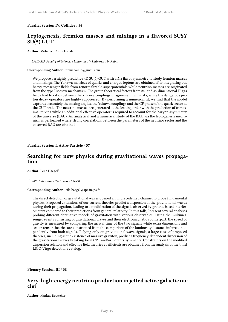### **Parallel Session IV, Collider** / **36**

# **Leptogenesis, fermion masses and mixings in a flavored SUSY SU(5) GUT**

Author: Mohamed Amin Loualidi<sup>1</sup>

1 *LPHE-MS, Faculty of Science, Mohammed V University in Rabat*

### **Corresponding Author:** mr.medamin@gmail.com

We propose a a highly predictive  $4D SU(5) GUT$  with a  $D_4$  flavor symmetry to study fermion masses and mixings. The Yukawa matrices of quarks and charged leptons are obtained after integrating out heavy messenger fields from renormalizable superpotentials while neutrino masses are originated from the type I seesaw mechanism. The group theoretical factors from 24- and 45-dimensional Higgs fields lead to ratios between the Yukawa couplings in agreement with data, while the dangerous proton decay operators are highly suppressed. By performing a numerical fit, we find that the model captures accurately the mixing angles, the Yukawa couplings and the CP phase of the quark sector at the GUT scale. The neutrino masses are generated at the leading order with the prediction of trimaximal mixing while an additional effective operator is required to account for the baryon asymmetry of the universe (BAU). An analytical and a numerical study of the BAU via the leptogenesis mechanism is performed where strong correlations between the parameters of the neutrino sector and the observed BAU are obtained.

### <span id="page-22-0"></span>**Parallel Session I, Astro-Particle** / **37**

### **Searching for new physics during gravitational waves propagation**

Author: Leïla Haegel<sup>1</sup>

#### <sup>1</sup> *APC Laboratory (Uni.Paris / CNRS)*

### **Corresponding Author:** leila.haegel@apc.in2p3.fr

The direct detection of gravitational waves opened an unprecedented channel to probe fundamental physics. Proposed extensions of our current theories predict a dispersion of the gravitational waves during their propagation, leading to a modification of the signals observed by ground-based interferometers compared to their predictions from general relativity. In this talk, I present several analyses probing different alternative models of gravitation with various observables. Using the multimessenger events consisting of gravitational waves and their electromagnetic counterpart, the speed of gravity is measured by comparing the arrival time of the two signals while extra dimensions and scalar-tensor theories are constrained from the comparison of the luminosity distance inferred independently from both signals. Relying only on gravitational wave signals, a large class of proposed theories, including as the existence of massive graviton, predict a frequency-dependent dispersion of the gravitational waves breaking local CPT and/or Lorentz symmetry. Constraints on the modified dispersion relation and effective field theories coefficients are obtained from the analysis of the third LIGO-Virgo detections catalog.

<span id="page-22-1"></span>**Plenary Session III** / **38**

### **Very-high-energy neutrino production in jetted active galactic nuclei**

**Author:** Markus Boettcher<sup>1</sup>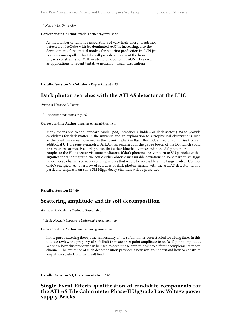<sup>1</sup> *North-West University*

**Corresponding Author:** markus.bottcher@nwu.ac.za

As the number of tentative associations of very-high-energy neutrinos detected by IceCube with jet-dominated AGN is increasing, also the development of theoretical models for neutrino production in AGN jets is advancing rapidly. This talk will provide a review of the basic physics constraints for VHE neutrino production in AGN jets as well as applications to recent tentative neutrino - blazar associations.

<span id="page-23-0"></span>**Parallel Session V, Collider - Experiment** / **39**

### **Dark photon searches with the ATLAS detector at the LHC**

**Author:** Hassnae El Jarrari<sup>1</sup>

<sup>1</sup> *Universite Mohammed V (MA)*

### **Corresponding Author:** hassnae.el.jarrari@cern.ch

Many extensions to the Standard Model (SM) introduce a hidden or dark sector (DS) to provide candidates for dark matter in the universe and an explanation to astrophysical observations such as the positron excess observed in the cosmic radiation flux. This hidden sector could rise from an additional U(1)d gauge symmetry. ATLAS has searched for the gauge boson of the DS, which could be a massless or massive dark photon that either kinetically mixes with the SM photon or couples to the Higgs sector via some mediators. If dark photons decay in turn to SM particles with a significant branching ratio, we could either observe measurable deviations in some particular Higgs boson decay channels or new exotic signatures that would be accessible at the Large Hadron Collider (LHC) energies. An overview of searches of dark photon signals with the ATLAS detector, with a particular emphasis on some SM Higgs decay channels will be presented.

<span id="page-23-1"></span>**Parallel Session II** / **40**

### **Scattering amplitude and its soft decomposition**

**Author:** Andriniaina Narindra Rasoanaivo<sup>1</sup>

1 *Ecole Normale Supérieure Université d'Antananarivo*

#### **Corresponding Author:** andriniaina@aims.ac.za

In the pure scattering theory, the universality of the soft limit has been studied for a long time. In this talk we review the property of soft limit to relate an *n*-point amplitude to an (*n*-1)-point amplitude. We show how this property can be used to decompose amplitudes into different complementary soft channel. The existence of such decomposition provides a new way to understand how to construct amplitude solely from them soft limit.

<span id="page-23-2"></span>**Parallel Session VI, Instrumentation** / **41**

# **Single Event Effects qualification of candidate components for the ATLAS Tile Calorimeter Phase-II Upgrade Low Voltage power supply Bricks**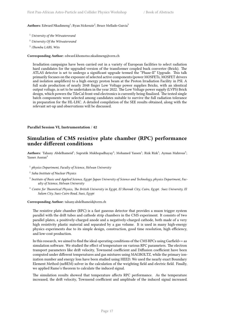### $\mathbf{Aut}$ **hors:** Edward Nkadimeng<sup>1</sup>; Ryan Mckenzie<sup>2</sup>; Bruce Mellado-Garcia<sup>3</sup>

- <sup>1</sup> *University of the Witwatersrand*
- <sup>2</sup> *University Of the Witwatersrand*
- 3 *iThemba LABS, Wits*

### **Corresponding Author:** edward.khomotso.nkadimeng@cern.ch

Irradiation campaigns have been carried out in a variety of European facilities to select radiation hard candidates for the upgraded version of the transformer coupled buck converter (Brick). The ATLAS detector is set to undergo a significant upgrade termed the "Phase-II" Upgrade. This talk primarily focuses on the exposure of selected active components (power MOSFETs, MOSFET drivers and isolation amplifiers) to a high energy proton beam at the Proton Irradiation Facility in PSI. A full scale production of nearly 2048 finger Low Voltage power supplies Bricks, with an identical output voltage, is set to be undertaken in the year 2022. The Low Voltage power supply (LVPS) Brick design, which powers the TileCal front-end electronics is currently being finalized. The tested single batch components were selected among candidates suitable to survive the full radiation tolerance in preparation for the HL-LHC. A detailed compilation of the SEE results obtained, along with the relevant set-up and observations will be discussed.

### <span id="page-24-0"></span>**Parallel Session VI, Instrumentation** / **42**

# **Simulation of CMS resistive plate chamber (RPC) performance under different conditions**

Authors: Tahany Abdelhameid<sup>1</sup>; Supratik Mukhopadhayay<sup>2</sup>; Mohamed Yassen<sup>1</sup>; Rizk Rizk<sup>1</sup>; Ayman Mahrous<sup>3</sup>; Yasser Assran<sup>4</sup>

- 1 *physics Department, Faculty of Science, Helwan University*
- 2 *Saha Institute of Nuclear Physics*
- 3 *Institute of Basic and Applied Science, Egypt-Japan University of Science and Technology, physics Department, Faculty of Science, Helwan University*
- <sup>4</sup> *Centre for Theoretical Physics, The British University in Egypt, El Sherouk City, Cairo, Egypt. Suez University, El Salam City, Suez-Cairo Road, Suez, Egypt*

#### **Corresponding Author:** tahany.abdelhameid@cern.ch

The resistive plate chamber (RPC) is a fast gaseous detector that provides a muon trigger system parallel with the drift tubes and cathode strip chambers in the CMS experiment. It consists of two parallel plates, a positively-charged anode and a negatively-charged cathode, both made of a very high resistivity plastic material and separated by a gas volume. It is used in many high-energy physics experiments due to its simple design, construction, good time resolution, high efficiency, and low-cost production.

In this research, we aimed to find the ideal operating conditions of the CMS RPCs using Garfield++ as simulation software. We studied the effect of temperature on various RPC parameters. The electron transport parameters like drift velocity, Townsend coefficient and Diffusion coefficient have been computed under different temperatures and gas mixtures using MAGBOLTZ, while the primary ionization number and energy loss have been studied using HEED. We used the nearly exact Boundary Element Method (neBEM) solver in the calculation of the weighting field and electric field. Finally, we applied Ramo's theorem to calculate the induced signal.

<span id="page-24-1"></span>The simulation results showed that temperature affects RPC performance. As the temperature increased, the drift velocity, Townsend coefficient and amplitude of the induced signal increased.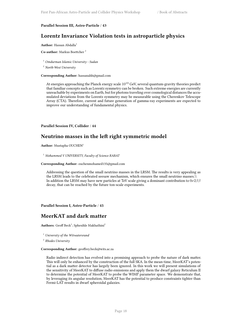### **Parallel Session III, Astro-Particle** / **43**

# **Lorentz Invariance Violation tests in astroparticle physics**

#### **Author:** Hassan Abdalla<sup>1</sup>

**Co-author:** Markus Boettcher <sup>2</sup>

<sup>1</sup> *Omdurman Islamic University - Sudan*

<sup>2</sup> *North-West University*

#### **Corresponding Author:** hassanahh@gmail.com

At energies approaching the Planck energy scale  $10^{19}$  GeV, several quantum-gravity theories predict that familiar concepts such as Lorentz symmetry can be broken. Such extreme energies are currently unreachable by experiments on Earth, but for photons traveling over cosmological distances the accumulated deviations from the Lorentz symmetry may be measurable using the Cherenkov Telescope Array (CTA). Therefore, current and future generation of gamma-ray experiments are expected to improve our understanding of fundamental physics.

### <span id="page-25-0"></span>**Parallel Session IV, Collider** / **44**

# **Neutrino masses in the left right symmetric model**

**Author:** Mustapha OUCHEN<sup>1</sup>

<sup>1</sup> *Mohammed V UNIVERSITY, Faculty of Science RABAT*

#### **Corresponding Author:** ouchenmohamed135@gmail.com

Addressing the question of the small neutrino masses in the LRSM. The results is very appealing as the LRSM leads to the celebrated seesaw mechanism, which ensures the small neutrino masses.\\ In addition the LRSM may have new particles at TeV scale giving a dominant contribution to 0*ν*2*ββ* decay, that can be reached by the future ton-scale experiments.

<span id="page-25-1"></span>**Parallel Session I, Astro-Particle** / **45**

# **MeerKAT and dark matter**

Authors: Geoff Beck<sup>1</sup>; Sphesihle Makhathini<sup>2</sup>

<sup>1</sup> *University of the Witwatersrand*

2 *Rhodes University*

### **Corresponding Author:** geoffrey.beck@wits.ac.za

<span id="page-25-2"></span>Radio indirect detection has evolved into a promising approach to probe the nature of dark matter. This will only be enhanced by the construction of the full SKA. In the mean-time, MeerKAT's potential as a dark matter detector has largely been ignored. In this work we will present simulations of the sensitivity of MeerKAT to diffuse radio emissions and apply them the dwarf galaxy Reticulum II to determine the potential of MeerKAT to probe the WIMP parameter space. We demonstrate that, by leveraging its angular resolution, MeerKAT has the potential to produce constraints tighter than Fermi-LAT results in dwarf spheroidal galaxies.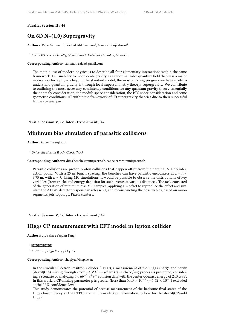### **Parallel Session II** / **46**

# **On 6D N=(1,0) Supergravity**

 $\mathbf{Aut}$ **hors:** Rajae Sammani<sup>1</sup>; Rachid Ahl Laamara<sup>1</sup>; Youssra Boujakhrout<sup>1</sup>

<sup>1</sup> LPHE-MS, Science faculty, Mohammed V University in Rabat, Morocco.

### **Corresponding Author:** sammani.rajaa@gmail.com

The main quest of modern physics is to describe all four elementary interactions within the same framework. Our inability to incorporate gravity as a renormalizable quantum field theory is a major motivation for a physics beyond the standard model, the most amazing progress we have made to understand quantum gravity is through local supersymmetry theory: supergravity. We contribute to outlining the most necessary consistency conditions for any quantum gravity theory essentially the anomaly consideration, the moduli space consideration, the BPS space consideration and some geometric conditions. All within the framework of 6D supergravity theories due to their successful landscape analysis.

### <span id="page-26-0"></span>**Parallel Session V, Collider - Experiment** / **47**

# **Minimum bias simulation of parasitic collisions**

**Author:** Sanae Ezzarqtouni<sup>1</sup>

<sup>1</sup> *Universite Hassan II, Ain Chock (MA)*

**Corresponding Authors:** driss.benchekroun@cern.ch, sanae.ezzarqtouni@cern.ch

Parasitic collisions are proton-proton collisions that happen offset from the nominal ATLAS interaction point. With a 25 ns bunch spacing, the bunches can have parasitic encounters at  $z = n \times$ 3.75 m, with n < 7. Using MC simulations, it would be possible to observe the distributions of key variables (from tracks and energy deposits) for such events at various distances. The task consisted of the generation of minimum bias MC samples, applying a Z offset to reproduce the effect and simulate the ATLAS detector response in release 21, and reconstructing the observables, based on muon segments, jets topology, Pixels clusters.

### <span id="page-26-1"></span>**Parallel Session V, Collider - Experiment** / **49**

# **Higgs CP measurement with EFT model in lepton collider**

**Authors:** qiyu sha<sup>1</sup>; Yaquan Fang<sup>2</sup>

### 1 *tttttttttttttttttttttttt*

2 *Institute of High Energy Physics*

### **Corresponding Author:** shaqiyu@ihep.ac.cn

In the Circular Electron Positron Collider (CEPC), a measurement of the Higgs charge and parity (\textit{CP}) mixing through  $e^+e^- \to ZH \to \mu^+\mu^- H (\to b\bar{b}/c\bar{c}/gg)$  process is presented, considering a scenario of analyzing 5*.*6 *ab−*<sup>1</sup> *e* <sup>+</sup>*e <sup>−</sup>* collision data with the center-of-mass energy of 240 GeV. In this work, a CP-mixing parameter p is greater (less) than  $5.40 \times 10^{-2}$  ( $-5.52 \times 10^{-2}$ ) excluded at the 95% confidence level.

This study demonstrates the potential of precise measurement of the hadronic final states of the Higgs boson decay at the CEPC, and will provide key information to look for the \textit{CP}-odd Higgs.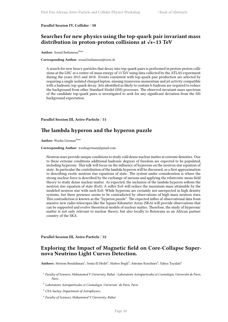### **Parallel Session IV, Collider** / **50**

# **Searches for new physics using the top-quark pair invariant mass distribution in proton-proton collisions at √s=13 TeV**

**Author:** Souad Batlamous<sup>None</sup>

#### **Corresponding Author:** souad.batlamous@cern.ch

A search for new heavy particles that decay into top-quark pairs is performed in proton-proton collisions at the LHC at a center-of-mass energy of 13 TeV using data collected by the ATLAS experiment during the years 2015 and 2018. Events consistent with top-quark pair production are selected by requiring a single isolated charged lepton, missing transverse momentum and jet activity compatible with a hadronic top-quark decay. Jets identified as likely to contain b-hadrons are required to reduce the background from other Standard Model (SM) processes. The observed invariant mass spectrum of the candidate top-quark pairs is investigated to seek for any significant deviation from the SM background expectation.

### <span id="page-27-0"></span>**Parallel Session III, Astro-Particle** / **51**

### **The lambda hyperon and the hyperon puzzle**

**Author:** Wazha German<sup>None</sup>

### **Corresponding Author:** wazhagerman@gmail.com

Neutron stars provide unique conditions to study cold dense nuclear matter at extreme densities. Due to these extreme conditions additional hadronic degrees of freedom are expected to be populated, including hyperons. This talk will focus on the influence of hyperons on the neutron star equation of state. In particular the contribution of the lambda hyperon will be discussed, as a first approximation to describing exotic neutron star equations of state. The system under consideration is where the strong nuclear force is described by the exchange of mesons and applying the relativistic mean field theory to study dense nuclear matter. As expected, the inclusion of the lambda hyperon softens the neutron star equation of state (EoS). A softer EoS will reduce the maximum mass attainable by the modeled neutron star with such EoS. While hyperons are certainly not unexpected in high density systems, but there presence seems to be contradicted by observations of high mass neutron stars. This contradiction is known as the "hyperon puzzle". The expected influx of observational data from massive new radio-telescopes like the Square Kilometer Array (SKA) will provide observations that can be supported and evolve theoretical models of nuclear matter. Therefore, the study of hyperonic matter is not only relevant to nuclear theory, but also locally to Botswana as an African partner country of the SKA.

<span id="page-27-1"></span>**Parallel Session III, Astro-Particle** / **52**

### **Exploring the Impact of Magnetic field on Core-Collapse Supernova Neutrino Light Curves Detection.**

 $\mathbf{Authors}\colon \mathsf{Meriem}\ \mathsf{Bendahman}^1\text{; Sonia El Hedri}^2\text{; Mattee}\ \mathsf{Bugli}^3\text{; Antoine Kouchner}^2\text{; Yahya Tayalati}^4$ 

- 1 *Faculty of Sciences, Mohammed V University, Rabat Laboratoire Astroparticules et Cosmologie, Université de Paris, Paris*
- <sup>2</sup> Laboratoire Astroparticules et Cosmologie, Universite´ de Paris, Paris

<sup>3</sup> *CEA Saclay, Department of Astrophysics*

4 *Faculty of Sciences, Mohammed V University, Rabat*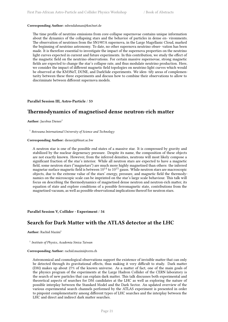#### **Corresponding Author:** mbendahman@km3net.de

The time profile of neutrino emissions from core-collapse supernovae contains unique information about the dynamics of the collapsing stars and the behavior of particles in dense en- vironments. The observation of neutrinos from the SN1987A supernova, in the Large Magellanic Cloud, marked the beginning of neutrino astronomy. To date, no other supernova neutrino obser- vation has been made. It is therefore essential to investigate the impact of the supernova properties on the neutrino light curves expected in current and future experiments. In this contribution, we study the effect of the magnetic field on the neutrino observations. For certain massive supernovae, strong magnetic fields are expected to change the star's collapse rate, and thus modulate neutrino production. Here, we consider the impact of different magnetic field topologies on neutrino light curves which would be observed at the KM3NeT, DUNE, and DarkSide experiments. We iden- tify areas of complementarity between these three experiments and discuss how to combine their observations to allow to discriminate between different supernova models.

### <span id="page-28-0"></span>**Parallel Session III, Astro-Particle** / **53**

# **Thermodynamics of magnetised dense neutron-rich matter**

**Author:** Jacobus Diener<sup>1</sup>

1 *Botswana International University of Science and Technology*

### **Corresponding Author:** dienerj@biust.ac.bw

A neutron star is one of the possible end states of a massive star. It is compressed by gravity and stabilized by the nuclear degeneracy pressure. Despite its name, the composition of these objects are not exactly known. However, from the inferred densities, neutrons will most likely compose a significant fraction of the star's interior. While all neutron stars are expected to have a magnetic field, some neutron stars ("magnetars") are much more highly magnetised than others: the inferred magnetar surface magnetic field is between  $10^{14}$  to  $10^{15}$  gauss. While neutron stars are macroscopic objects, due to the extreme value of the stars' energy, pressure, and magnetic field the thermodynamics on the microscopic scale can be imprinted on the star's large scale behaviour. This talk will focus on describing the thermodynamics of magnetised dense neutron and neutron-rich matter, its equation of state and explore conditions of a possible ferromagnetic state, contributions from the magnetised vacuum, as well as possible observational implications thereof for neutron stars.

<span id="page-28-1"></span>**Parallel Session V, Collider - Experiment** / **54**

### **Search for Dark Matter with the ATLAS detector at the LHC**

**Author:** Rachid Mazini<sup>1</sup>

1 *Institute of Physics, Academia Sinica Taiwan*

#### **Corresponding Author:** rachid.mazini@cern.ch

Astronomical and cosmological observations support the existence of invisible matter that can only be detected through its gravitational effects, thus making it very difficult to study. Dark matter (DM) makes up about 27% of the known universe. As a matter of fact, one of the main goals of the physics program of the experiments at the Large Hadron Collider of the CERN laboratory is the search of new particles that can explain dark matter. This talk discusses both experimental and theoretical aspects of searches for DM candidates at the LHC as well as exploring the nature of possible interplay between the Standard Model and the Dark Sector. An updated overview of the various experimental search channels performed by the ATLAS experiment is presented in order to pinpoint complementarity among different types of LHC searches and the interplay between the LHC and direct and indirect dark matter searches.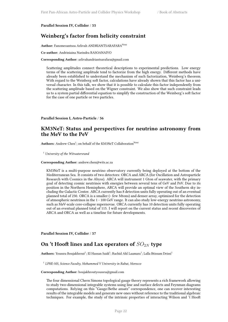<span id="page-29-0"></span>**Parallel Session IV, Collider** / **55**

# **Weinberg's factor from helicity constraint**

Author: Fanomezantsoa Arlivah ANDRIANTSARAFARA<sup>None</sup>

**Co-author:** Andriniaina Narindra RASOANAIVO

**Corresponding Author:** arlivahandriantsarafara@gmail.com

Scattering amplitudes connect theoretical descriptions to experimental predictions. Low energy terms of the scattering amplitude tend to factorize from the high energy. Different methods have already been established to understand the mechanism of such factorization, Weinberg's theorem. With regard to the Weinberg soft factor, calculations have already shown that this factor has a universal character. In this talk, we show that it is possible to calculate this factor independently from the scattering amplitude based on the Wigner constraint. We also show that such constraint leads us to a system partial differential equation to simplify the construction of the Weinberg's soft factor for the case of one particle or two particles.

### <span id="page-29-1"></span>**Parallel Session I, Astro-Particle** / **56**

### **KM3NeT: Status and perspectives for neutrino astronomy from the MeV to the PeV**

Authors: Andrew Chen<sup>1</sup>; on behalf of the KM3NeT Collaboration<sup>None</sup>

<sup>1</sup> *University of the Witwatersrand*

**Corresponding Author:** andrew.chen@wits.ac.za

KM3NeT is a multi-purpose neutrino observatory currently being deployed at the bottom of the Mediterranean Sea. It consists of two detectors: ORCA and ARCA (for Oscillation and Astroparticle Research with Cosmics in the Abyss). ARCA will instrument 1 Gton of seawater, with the primary goal of detecting cosmic neutrinos with energies between several tens of GeV and PeV. Due to its position in the Northern Hemisphere, ARCA will provide an optimal view of the Southern sky including the Galactic Center. ARCA currently has 8 detection units fully operating out of an eventual planned total of 230. ORCA is a smaller (~ few Mtons) and denser array, optimized for the detection of atmospheric neutrinos in the 1 - 100 GeV range. It can also study low-energy neutrino astronomy, such as MeV-scale core-collapse supernovae. ORCA currently has 10 detection units fully operating out of an eventual planned total of 115. I will report on the current status and recent discoveries of ARCA and ORCA as well as a timeline for future developments.

<span id="page-29-2"></span>**Parallel Session IV, Collider** / **57**

# On 't Hooft lines and Lax operators of  $SO_{2N}$  type

 ${\bf Authors:}$  Youssra Boujakhrout $^1;$  El Hassan Saidi $^1;$  Rachid Ahl Laamara $^1;$  Lalla Btissam Drissi $^1$ 

1 *LPHE-MS, Science Faculty, Mohammed V University in Rabat, Morocco*

#### **Corresponding Author:** boujakhroutyoussra@gmail.com

The four dimensional Chern Simons topological gauge theory represents a rich framework allowing to study two-dimensional integrable systems using line and surface defects and Feynman diagrams computations. Relying on this "Gauge/Bethe ansatz" correspondence, one can recover interesting results of the integrable models and generate new ones without reference to the traditional algebraic techniques. For example, the study of the intrinsic properties of interacting Wilson and 't Hooft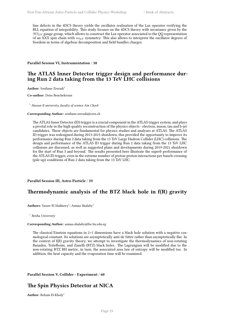line defects in the 4DCS theory yields the oscillator realisation of the Lax operator verifying the RLL equation of integrability. This study focuses on the 4DCS theory with invariance given by the *SO*2*<sup>N</sup>* gauge group, which allows to construct the Lax operator associated to the QQ representation of an XXX spin chain with *so*2*<sup>N</sup>* symmetry. This also allows to interprete the oscillator degrees of freedom in terms of algebras decomposition and field bundles charges.

<span id="page-30-0"></span>**Parallel Session VI, Instrumentation** / **58**

### **The ATLAS Inner Detector trigger design and performance during Run 2 data taking from the 13 TeV LHC collisions**

**Author:** Soufiane Zerradi<sup>1</sup>

**Co-author:** Driss Benchekroun

<sup>1</sup> *Hassan II university, faculty of science Ain Chock*

#### **Corresponding Author:** soufiane.zerradi@cern.ch

The ATLAS Inner Detector (ID) trigger is a crucial component in the ATLAS trigger system, and plays a pivotal role in the high quality reconstruction of the physics objects - electron, muon, tau and b-jet candidates. These objects are fundamental for physics studies and analyses at ATLAS. The ATLAS ID trigger was redesigned during 2013-2015 shutdown, this provided the opportunity to improve its performance during Run 2 data taking from the 13 TeV Large Hadron Collider (LHC) collisions. The design and performance of the ATLAS ID trigger during Run 2 data taking from the 13 TeV LHC collisions are discussed, as well as suggested plans and developments during 2019-2021 shutdown for the start of Run 3 and beyond. The results presented here illustrate the superb performance of the ATLAS ID trigger, even in the extreme number of proton-proton interactions per bunch-crossing (pile-up) conditions of Run 2 data taking from the 13 TeV LHC.

<span id="page-30-1"></span>**Parallel Session III, Astro-Particle** / **59**

# **Thermodynamic analysis of the BTZ black hole in f(R) gravity**

 $\mathbf{Aut}$ **hors:** Yasser El Mahlawy<sup>1</sup>; Asmaa Shalaby<sup>1</sup>

1 *Benha University*

### **Corresponding Author:** asmaa.shalaby@fsc.bu.edu.eg

The classical Einstein equations in 2+1 dimensions have a black hole solution with a negative cosmological constant. Its solutions are asymptotically anti-de Sitter rather than asymptotically flat. In the context of f(R) gravity theory, we attempt to investigate the thermodynamics of non-rotating Banados, Teitelboim, and Zanelli (BTZ) black holes. The Lagrangian will be modified due to the non-rotating BTZ BH metric, in turn, the associated area law of entropy will be modified too. In addition, the heat capacity and the evaporation time will be examined.

<span id="page-30-2"></span>**Parallel Session V, Collider - Experiment** / **60**

# **The Spin Physics Detector at NICA**

**Author:** Reham El-Kholy<sup>1</sup>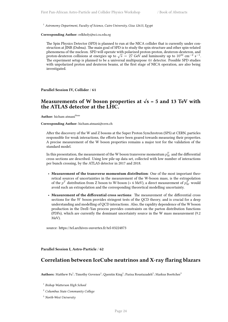<sup>1</sup> Astronomy Department, Faculty of Science, Cairo University, Giza 12613, Egypt

#### **Corresponding Author:** relkholy@sci.cu.edu.eg

The Spin Physics Detector (SPD) is planned to run at the NICA collider that is currently under construction at JINR (Dubna). The main goal of SPD is to study the spin structure and other spin-related phenomena of the nucleon. SPD will operate with polarized proton-proton, deuteron-deuteron, and proton-deuteron collisions at energies up to  $\sqrt{s} = 27$  GeV and luminosity up to  $10^{32}$  cm<sup>−2</sup> s<sup>−1</sup>. The experiment setup is planned to be a universal multipurpose 4*π* detector. Possible SPD studies with unpolarized proton and deuteron beams, at the first stage of NICA operation, are also being investigated.

<span id="page-31-0"></span>**Parallel Session IV, Collider** / **61**

# **Measurements of W boson properties at √s = 5 and 13 TeV with the ATLAS detector at the LHC.**

**Author:** hicham atmani<sup>None</sup>

#### **Corresponding Author:** hicham.atmani@cern.ch

After the discovery of the W and Z bosons at the Super Proton Synchrotron (SPS) at CERN, particles responsible for weak interactions, the efforts have been geared towards measuring their properties. A precise measurement of the W boson properties remains a major test for the validation of the standard model.

In this presentation, the measurement of the W boson transverse momentum  $p_W^T$  and the differential cross sections are described. Using low pile-up data set, collected with low number of interactions per bunch crossing, by the ATLAS detector in 2017 and 2018.

- **Measurement of the transverse momentum distribution**: One of the most important theoretical sources of uncertainties in the measurement of the W-boson mass, is the extrapolation of the  $p^T$  distribution from Z boson to W-boson (≈ 6 MeV), a direct measurement of  $p^T_W$  would avoid such an extrapolation and the corresponding theoretical modelling uncertainty.
- **Measurement of the differential cross sections**: The measurement of the differential cross sections for the *W* boson provides stringent tests of the QCD theory, and is crucial for a deep understanding and modelling of QCD interactions. Also, the rapidity dependence of the W boson production in the Drell–Yan process provides constraints on the parton distribution functions (PDFs), which are currently the dominant uncertainty source in the W mass measurement (9.2 MeV).

source: https://tel.archives-ouvertes.fr/tel-03224873

<span id="page-31-1"></span>**Parallel Session I, Astro-Particle** / **62**

### **Correlation between IceCube neutrinos and X-ray flaring blazars**

Authors: Matthew Fu<sup>1</sup>; Timothy Govenor<sup>1</sup>; Quentin King<sup>1</sup>; Parisa Roustazadeh<sup>2</sup>; Markus Boettcher<sup>3</sup>

- <sup>2</sup> *Columbus State Community College*
- <sup>3</sup> *North-West University*

<sup>1</sup> *Bishop Watterson High School*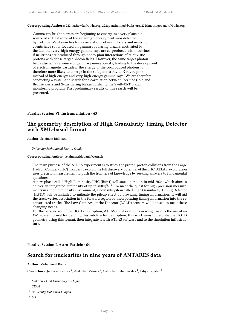**Corresponding Authors:** 222mathewfu@bwhs.org, 222quentinking@bwhs.org, 222timothygovenor@bwhs.org

Gamma-ray bright blazars are beginning to emerge as a very plausible source of at least some of the very-high-energy neutrinos detected by IceCube. Most searches for a correlation between blazars and neutrino events have so far focused on gamma-ray flaring blazars, motivated by the fact that very-high-energy gamma-rays are co-produced with neutrinos if neutrinos are produced through photo-pion interactions of relativistic protons with dense target photon fields. However, the same target photon fields also act as a source of gamma-gamma opacity, leading to the development of electromagnetic cascades. The energy of the co-produced photons is therefore more likely to emerge in the soft gamma-ray to X-ray regime instead of high-energy and very-high-energy gamma-rays. We are therefore conducting a systematic search for a correlation between IceCube Gold and Bronze alerts and X-ray flaring blazars, utilizing the Swift-XRT blazar monitoring program. First preliminary results of this search will be presented.

### <span id="page-32-0"></span>**Parallel Session VI, Instrumentation** / **63**

# **The geometry description of High Granularity Timing Detector with XML-based format**

**Author:** Selaiman Ridouani<sup>1</sup>

<sup>1</sup> *University Mohammed First in Oujda*

### **Corresponding Author:** selaiman.ridouani@cern.ch

The main purpose of the ATLAS experiment is to study the proton-proton collisions from the Large Hadron Collider (LHC) in order to exploit the full discovery potential of the LHC. ATLAS' exploration uses precision measurement to push the frontiers of knowledge by seeking answers to fundamental questions.

A new phase called High Luminosity LHC (Run4) will start operation in mid-2026, which aims to deliver an integrated luminosity of up to 4000*fb*<sup>−</sup><sup>1</sup> . To meet the quest for high precision measurements in a high luminosity environment, a new subsystem called High Granularity Timing Detector (HGTD) will be installed to mitigate the pileup effect by providing timing information. It will aid the track-vertex association in the forward region by incorporating timing information into the reconstructed tracks. The Low Gain Avalanche Detector (LGAD) sensors will be used to meet these changing needs.

For the perspective of the HGTD description, ATLAS collaboration is moving towards the use of an XML-based format for defining this subdetector description, this work aims to describe the HGTD geometry using this format, then integrate it with ATLAS software and to the simulation infrastructure.

<span id="page-32-1"></span>**Parallel Session I, Astro-Particle** / **64**

### **Search for nuclearites in nine years of ANTARES data**

#### Author: Mohammed Bouta<sup>1</sup>

 $\rm\,Co\text{-}author$ : Juergen Brunner  $^2$ ; Abdelilah Moussa  $^3$ ; Gabriela Emilia Pavalas  $^4$ ; Yahya Tayalati  $^5$ 

<sup>1</sup> *Mohamed First University in Oujda*

<sup>2</sup> *CPPM*

<sup>3</sup> *University Mohamed I Oujda*

4 *ISS*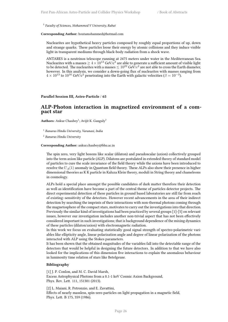5 *Faculty of Sciences, Mohammed V University, Rabat*

**Corresponding Author:** boutamohammed@hotmail.com

Nuclearites are hypothetical heavy particles composed by roughly equal proportions of up, down and strange quarks. These particles loose their energy by atomic collisions and they induce visible light in transparent mediums through black-body radiation from a shock wave.

ANTARES is a neutrinos telescope running at 2475 meters under water in the Mediterranean Sea. Nuclearites with a masses  $\geq 4 \times 10^{13}$  GeV/c<sup>2</sup> are able to generate a sufficient amount of visible light to be detected. The nuclearites with a masses  $\leq 10^{22}$  GeV/ $c^2$  are not able to cross the Earth diameter, however. In this analysis, we consider a down-going flux of nuclearites with masses ranging from  $4 \times 10^{13}$  to  $10^{16}$  GeV/c<sup>2</sup> penetrating into the Earth with galactic velocities ( $\beta = 10^{-3}$ ).

### <span id="page-33-0"></span>**Parallel Session III, Astro-Particle** / **65**

### **ALP-Photon interaction in magnetized environment of a compact star**

**Authors:** Ankur Chaubey<sup>1</sup>; Avijit K. Ganguly<sup>2</sup>

1 *Banaras Hindu University, Varanasi, India*

2 *Banaras Hindu University*

**Corresponding Author:** ankur.chaubey@bhu.ac.in

The spin zero, very light bosons like scalar (dilaton) and pseudoscalar (axion) collectively grouped into the term axion like particle (ALP). Dilatons are postulated in extended theory of standard model of particles to cure the scale invariance of the field theory while the axions have been introduced to resolve the *UA*(1) anomaly in Quantum field theory. These ALPs also show their presence in higher dimensional theories as K K particle in Kaluza Klein theory, moduli in String theory and chameleons in cosmology.

ALPs hold a special place amongst the possible candidates of dark matter therefore their detection as well as identification have become a part of the central theme of particles detector projects. The direct experimental detection of these particles in ground based laboratories are still far from reach of existing–sensitivity of the detectors. However recent advancements in the area of their indirect detection by searching the imprints of their interactions with non-thermal photons coming through the magnetosphere of the compact stars, motivates to carry out the investigations into that direction. Previously the similar kind of investigations had been practiced by several groups [1]-[5] on relevant issues, however our investigation includes another non-trivial aspect that has not been effectively considered important in such investigations; that is background dependence of the mixing dynamics of these particles (dilaton/axion) with electromagnetic radiation.

In this work we focus on evaluating statistically good signal strength of spectro-polarimetric variables like ellipticity angle, linear polarization angle and degree of linear polarization of the photons interacted with ALP using the Stokes parameters.

It has been shown that the obtained magnitudes of the variables fall into the detectable range of the detectors that would be helpful in designing the future detectors. In addition to that we have also looked for the implications of this dimension five interactions to explain the anomalous behaviour in luminosity time relation of stars like Betelgeuse.

#### **Bibliography**

[1] J. P. Conlon, and M. C. David Marsh, Excess Astrophysical Photons from a 0.1-1 keV Cosmic Axion Background, Phys. Rev. Lett. 111, 151301 (2013).

[2] L. Maiani, R. Petronzio, and E. Zavattini, Effects of nearly massless, spin-zero particles on light propagation in a magnetic field, Phys. Lett. B 175, 359 (1986).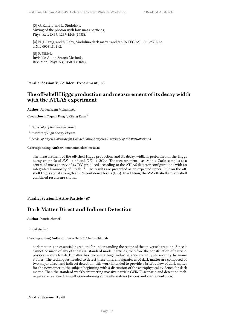[3] G. Raffelt, and L. Stodolsky, Mixing of the photon with low-mass particles, Phys. Rev. D 37, 1237-1249 (1988).

[4] N. J. Craig, and S. Raby, Modulino dark matter and teh INTEGRAL 511 keV Line arXiv:0908.1842v2.

[5] P. Sikivie, Invisible Axion Search Methods, Rev. Mod. Phys. 93, 015004 (2021).

<span id="page-34-0"></span>**Parallel Session V, Collider - Experiment** / **66**

# **The off-shell Higgs production and measurement of its decay width with the ATLAS experiment**

Author: Abdualazem Mohammed<sup>1</sup>

**Co-authors:** Yaquan Fang<sup>2</sup>; Xifeng Ruan<sup>3</sup>

<sup>1</sup> *University of the Witwatersrand*

2 *Institute of High Energy Physics*

3 *School of Physics, Institute for Collider Particle Physics, University of the Witwatersrand*

**Corresponding Author:** amohammed@aims.ac.tz

The measurement of the off-shell Higgs production and its decay width is performed in the Higgs decay channels of  $ZZ \to 4\ell$  and  $ZZ \to 2\ell 2\nu$ . The measurement uses Monte Carlo samples at a centre-of-mass energy of 13 TeV, produced according to the ATLAS detector configurations with an integrated luminosity of 139 fb*−*<sup>1</sup> . The results are presented as an expected upper limit on the offshell Higgs signal strength at 95% confidence levels (CLs). In addition, the *ZZ* off-shell and on-shell combined results are shown.

<span id="page-34-1"></span>**Parallel Session I, Astro-Particle** / **67**

# **Dark Matter Direct and Indirect Detection**

Author: houria cherief<sup>1</sup>

1 *phd student*

### **Corresponding Author:** houria.cherief1@univ-dbkm.dz

<span id="page-34-2"></span>dark matter is an essential ingredient for understanding the recipe of the universe's creation. Since it cannot be made of any of the usual standard model particles, therefore the construction of particlephysics models for dark matter has become a huge industry, accelerated quite recently by many studies. The techniques needed to detect these different signatures of dark matter are composed of two major direct and indirect detection. this work intended to provide a brief review of dark matter for the newcomer to the subject beginning with a discussion of the astrophysical evidence for dark matter. Then the standard weakly interacting massive particle (WIMP) scenario and detection techniques are reviewed, as well as mentioning some alternatives (axions and sterile neutrinos).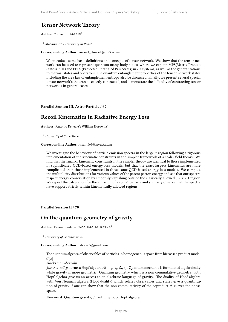# **Tensor Network Theory**

**Author:** Youssef EL MAADI<sup>1</sup>

<sup>1</sup> *Mohammed V University in Rabat*

**Corresponding Author:** youssef\_elmaadi@um5.ac.ma

We introduce some basic definitions and concepts of tensor network. We show that the tensor network can be used to represent quantum many-body states, where we explain MPS(Matrix Product States) in 1D and PEPS (Projected Entangled Pair States) in 2D systems, as well as the generalizations to thermal states and operators. The quantum entanglement properties of the tensor network states including the area law of entanglement entropy also be discussed. Finally, we present several special tensor network's that can be exactly contracted, and demonstrate the difficulty of contracting tensor network's in general cases.

<span id="page-35-0"></span>**Parallel Session III, Astro-Particle** / **69**

# **Recoil Kinematics in Radiative Energy Loss**

 $\mathbf{Aut}$ **hors:** Antonio Renecle<sup>1</sup>; William Horowitz<sup>1</sup>

<sup>1</sup> *University of Cape Town*

**Corresponding Author:** rncant003@myuct.ac.za

We investigate the behaviour of particle emission spectra in the large-*x* region following a rigorous implementation of the kinematic constraints in the simpler framework of a scalar field theory. We find that the small-*x* kinematic constraints in the simpler theory are identical to those implemented in sophisticated QCD-based energy loss models, but that the exact large- $x$  kinematics are more complicated than those implemented in those same QCD-based energy loss models. We compute the multiplicity distributions for various values of the parent parton energy and see that our spectra respect energy conservation by smoothly vanishing outside the classically allowed  $0 < x < 1$  region. We repeat the calculation for the emission of a spin-1 particle and similarly observe that the spectra have support strictly within kinematically allowed regions.

<span id="page-35-1"></span>**Parallel Session II** / **70**

### **On the quantum geometry of gravity**

**Author:** Fanomezantsoa RAZAFIMAHATRATRA<sup>1</sup>

<sup>1</sup> *University of Antananarivo*

**Corresponding Author:** fabraza3@gmail.com

The quantum algebra of observables of particles in homogeneous space from bicrossed product model  $\mathcal{C}[x]$ 

*blacktriangleright*

*joinrel*  $\lhd$  *C*[*p*] forms a Hopf algebra *A*(+*, µ, n,*  $\Delta$ *,*  $\epsilon$ ). Quantum mechanic is formulated algebraically while gravity is more geometric. Quantum geometry which is a non commutative geometry, with Hopf algebra give us an access to an algebraic language of gravity. The duality of Hopf algebra with Von Neuman algebra (Hopf duality) which relates observables and states give a quantification of gravity if one can show that the non commutativity of the coproduct  $\Delta$  curves the phase space.

**Keyword**: Quantum gravity, Quantum group, Hopf algebra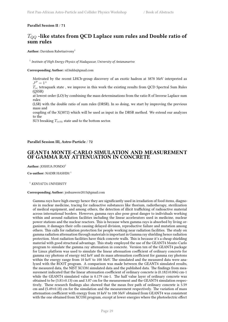### <span id="page-36-0"></span>**Parallel Session II** / **71**

# *TQQ* **-like states from QCD Laplace sum rules and Double ratio of sum rules**

**Author:** Davidson Rabetiarivony<sup>1</sup>

1 *Institute of High Energy Physics of Madagascar, University of Antananarivo*

### **Corresponding Author:** rd.bidds@gmail.com

Motivated by the recent LHCb-group discovery of an exotic hadron at 3878 MeV interpreted as  $J^P = 1^+$ 

*Tcc* tetraquark state , we improve in this work the existing results from QCD Spectral Sum Rules (QSSR)

at lowest order (LO) by combining the mass determinations from the ratio R of Inverse Laplace sum rules

(LSR) with the double ratio of sum rules (DRSR). In so doing, we start by improving the previous mass and

coupling of the X(3872) which will be used as input in the DRSR method. We extend our analyzes to the

SU3 breaking  $T_{cc\bar{s}\bar{u}}$  state and to the bottom sector.

### <span id="page-36-1"></span>**Parallel Session III, Astro-Particle** / **72**

### **GEANT4 MONTE-CARLO SIMULATION AND MEASUREMENT OF GAMMA RAY ATTENUATION IN CONCRETE**

**Author:** JOSHUA PONDO<sup>1</sup>

**Co-author:** NADIR HASHIM <sup>1</sup>

<sup>1</sup> *KENYATTA UNIVERSITY*

#### **Corresponding Author:** joshuawere2015@gmail.com

Gamma rays have high energy hence they are significantly used in irradiation of food items, diagnosis in nuclear medicine, tracing for radioactive substances like thorium, radiotherapy, sterilization of medical equipment, and among others, the detection of illicit trafficking of radioactive material across international borders. However, gamma rays also pose great danger to individuals working within and around radiation facilities including the linear accelerators used in medicine, nuclear power stations and the nuclear reactors. This is because when gamma rays is absorbed by living organisms, it damages their cells causing delayed division, reproductive failure and mutation among others. This calls for radiation protection for people working near radiation facilities. The study on gamma radiation attenuation through materials is important in Gamma ray shielding hence radiation protection. Most radiation facilities have thick concrete walls. This is because it's a cheap shielding material with good structural advantage. This study employed the use of the GEANT4 Monte-Carlo program to simulate the gamma ray attenuation in concrete. Version ten of the GEANT4 package for Linux platform was used to simulate the linear attenuation coefficient of ordinary concrete for gamma ray photons of energy 662 keV and its mass attenuation coefficient for gamma ray photons within the energy range from 10 keV to 100 MeV. The simulated and the measured data were analyzed with the ROOT program. A comparison was made between the GEANT4 simulated results, the measured data, the NIST XCOM simulated data and the published data. The findings from measurement indicated that the linear attenuation coefficient of ordinary concrete is (0.182±0.006) cm-1 while the GEANT4 simulated value is 0.179 cm-1. The half value layer of ordinary concrete was obtained to be  $(3.81\pm0.13)$  cm and 3.87 cm for the measurement and the GEANT4 simulation respectively. These research findings also showed that the mean free path of ordinary concrete is 5.59 cm and  $(5.49\pm0.18)$  cm for the simulation and the measurement respectively. The variation of mass attenuation coefficient with energy from 10 keV to 100 MeV obtained from GEANT4 was consistent with the one obtained from XCOM program, except at lower energies where the photoelectric effect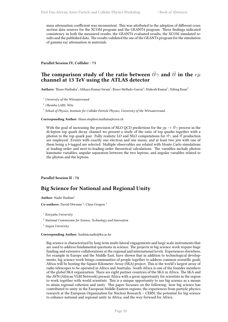mass attenuation coefficient was inconsistent. This was attributed to the adoption of different cross section data sources for the XCOM program and the GEANT4 program. These findings indicated consistency in both the measured results, the GEANT4 evaluated results, the XCOM simulated results and the published data. The results validated the use of the GEANT4 program for the simulation of gamma ray attenuation in materials.

### <span id="page-37-0"></span>**Parallel Session IV, Collider** / **73**

# The comparison study of the ratio between  $t\bar{t}\gamma$  and  $t\bar{t}$  in the  $e\mu$ **channel at 13 TeV using the ATLAS detector**

A**uthors:** Thuso Mathaha<sup>1</sup>; Abhaya Kumar Swain<sup>1</sup>; Bruce Mellado-Garcia<sup>2</sup>; Mukesh Kumar<sup>1</sup>; Xifeng Ruan<sup>3</sup>

<sup>1</sup> *University of the Witwatersrand*

2 *iThemba LABS, Wits*

3 *School of Physics, Institute for Collider Particle Physics, University of the Witwatersrand*

### **Corresponding Author:** thuso.stephen.mathata@cern.ch

With the goal of increasing the precision of NLO QCD predictions for the  $pp \to t\bar{t}\gamma$  process in the di-lepton top quark decay channel we present a study of the ratio of top quarks together with a photon to the top quark pair. Fully realistic LO and NLO computations for  $t\bar{t}\gamma$  and  $t\bar{t}$  production are employed. Events with exactly one electron and one muon, and at least two jets with one of them being a *b*-tagged are selected. Multiple observables are related with Monte Carlo simulations at leading-order and next-to-leading-order theoretical calculations. The variables include photon kinematic variables, angular separation between the two leptons, and angular variables related to the photon and the leptons.

### <span id="page-37-1"></span>**Parallel Session II** / **74**

# **Big Science for National and Regional Unity**

Author: Nadir Hashim<sup>1</sup>

Co-authors: David Otwoma<sup>2</sup>; Claus Grupen<sup>3</sup>

<sup>1</sup> *Kenyatta University*

<sup>2</sup> *National Commission for Science, Technology and Innovation*

3 *Siegen University*

#### **Corresponding Author:** hashim.nadir@ku.ac.ke

Big science is characterized by long term multi-lateral engagements and large scale instruments that are used to address fundamental questions in science. The projects in big science work require huge funding and extensive collaborations at the regional and international levels. Experiences elsewhere, for example in Europe and the Middle East, have shown that in addition to technological developments, big science work brings communities of people together to address common scientific goals. Africa will be hosting the Square Kilometer Array (SKA) project. This is the world's largest array of radio telescopes to be operated in Africa and Australia. South Africa is one of the founder members of the global SKA organization. There are eight partner countries of the SKA in Africa. The SKA and the AVN (African VLBI Network) present Africa with a great opportunity for scientists in the region to work together with world scientists. This is a unique opportunity to use big science as a means to attain regional cohesion and unity. This paper focusses on the following: how big science has contributed to unity in the European Middle-Eastern regions; the experiences from particle physics research at the European Organization for Nuclear Research – CERN; the potential for big science to enhance national and regional unity in Africa; and the way forward for Africa.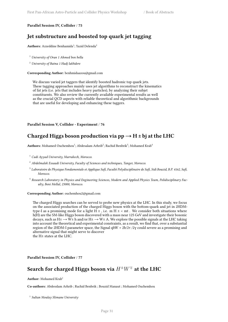### **Parallel Session IV, Collider** / **75**

# **Jet substructure and boosted top quark jet tagging**

Authors: Azzeddine Benhamida<sup>1</sup>; Yazid Delenda<sup>2</sup>

<sup>1</sup> *University of Oran 1 Ahmed ben bella*

<sup>2</sup> *University of Batna 1 Hadj lakhdere*

**Corresponding Author:** benhmidaazou@gmail.com

We discuss varied jet taggers that identify boosted hadronic top quark jets. These tagging approaches mainly uses jet algorithms to reconstruct the kinematics of fat jets (i.e. jets that includes heavy particles), by analyzing their subjet constituents. We also review the currently available experimental results as well as the crucial QCD aspects with reliable theoretical and algorithmic backgrounds that are useful for developing and enhancing these taggers.

**Parallel Session V, Collider - Experiment** / **76**

# Charged Higgs boson production via  $pp \rightarrow H \pm bi$  at the LHC

Authors: Mohamed Ouchemhou<sup>1</sup>; Abdesalam Arhrib<sup>2</sup>; Rachid Benbrik<sup>3</sup>; Mohamed Krab<sup>4</sup>

<sup>1</sup> *Cadi Ayyad University, Marrakech, Morocco.*

- <sup>2</sup> *Abdelmalek Essaadi University, Faculty of Sciences and techniques, Tanger, Morocco.*
- 3 *Laboratoire de Physique Fondamentale et Applique Safi, Faculté Polydisciplinaire de Safi, Sidi Bouzid, B.P. 4162, Safi, Morocco.*
- 4 *Research Laboratory in Physics and Engineering Sciences, Modern and Applied Physics Team, Polidisciplinary Faculty, Beni Mellal, 23000, Morocco.*

#### **Corresponding Author:** ouchemhou2@gmail.com

The charged Higgs searches can be served to probe new physics at the LHC. In this study, we focus on the associated production of the charged Higgs boson with the bottom-quark and jet in 2HDMtype-I as a promising mode for a light H  $\pm$  , i.e. m H  $\pm$  < mt . We consider both situations where h(H) are the SM-like Higgs boson discovered with a mass near 125 GeV and investigate their bosonic decays, such as  $H^{\pm} \to \overline{W^{\pm}}$  h and/or  $H^{\pm} \to W^{\pm}$  A. We explore the possible signals at the LHC taking into account the theoretical and experimental constraints, as a result, we find that, over a substantial region of the 2HDM-I parameter space, the Signal qbW + 2b/2τ /2γ could severe as a promising and alternative signal that might serve to discover the H± states at the LHC.

<span id="page-38-0"></span>**Parallel Session IV, Collider** / **77**

# Search for charged Higgs boson via  $H^{\pm}W^{\mp}$  at the LHC

**Author:** Mohamed Krab<sup>1</sup>

**Co-authors:** Abdesslam Arhrib ; Rachid Benbrik ; Bouzid Manaut ; Mohamed Ouchemhou

1 *Sultan Moulay Slimane University*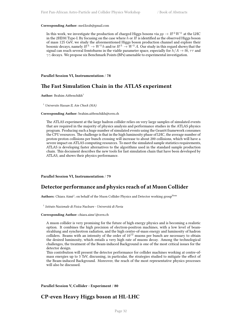#### **Corresponding Author:** med.krab@gmail.com

In this work, we investigate the production of charged Higgs bosons via  $pp \rightarrow H^{\pm}W^{\mp}$  at the LHC in the 2HDM Type-I. By focusing on the case where *h* or *H* is identified as the observed Higgs boson of mass 125 GeV, we study the aforementioned Higgs boson production channel and explore their bosonic decays, namely  $H^{\pm} \to W^{\pm}h$  and/or  $H^{\pm} \to W^{\pm}A$ . Our study in this regard shows that the signal can reach several femtobarns in the viable parameter space, especially for  $h/A \rightarrow b\bar{b}$ ,  $\tau\tau$  and *γγ* decays. We propose six Benchmark Points (BPs) amenable to experimental investigation.

#### <span id="page-39-0"></span>**Parallel Session VI, Instrumentation** / **78**

### **The Fast Simulation Chain in the ATLAS experiment**

**Author:** Brahim Aitbenchikh<sup>1</sup>

<sup>1</sup> *Universite Hassan II, Ain Chock (MA)*

#### **Corresponding Author:** brahim.aitbenchikh@cern.ch

The ATLAS experiment at the large hadron collider relies on very large samples of simulated events that are required in the majority of physics analysis and performance studies in the ATLAS physics program. Producing such a huge number of simulated events using the Geant4 framework consumes the CPU resources. The challenge is that in the high luminosity phase of LHC, the average number of proton-proton collisions per bunch crossing will increase to about 200 collisions, which will have a severe impact on ATLAS computing resources. To meet the simulated sample statistics requirements, ATLAS is developing faster alternatives to the algorithms used in the standard sample production chain. This document describes the new tools for fast simulation chain that have been developed by ATLAS, and shows their physics performance.

#### <span id="page-39-1"></span>**Parallel Session VI, Instrumentation** / **79**

### **Detector performance and physics reach of at Muon Collider**

Authors: Chiara Aimè<sup>1</sup>; on behalf of the Muon Collider Physics and Detector working group<sup>None</sup>

1 *Istituto Nazionale di Fisica Nucleare - Università di Pavia*

### **Corresponding Author:** chiara.aime'@cern.ch

A muon collider is very promising for the future of high energy physics and is becoming a realistic option. It combines the high precision of electron-positron machines, with a low level of beamstrahlung and synchrotron radiation, and the high centre-of-mass energy and luminosity of hadron colliders. Beams with an intensity of the order of  $10^{12}$  muons per bunch are necessary to obtain the desired luminosity, which entails a very high rate of muons decay. Among the technological challenges, the treatment of the Beam-induced Background is one of the most critical issues for the detector design.

This contribution will present the detector performance for collider machines working at centre-ofmass energies up to 3 TeV, discussing, in particular, the strategies studied to mitigate the effect of the Beam-induced Background. Moreover, the reach of the most representative physics processes will also be discussed.

<span id="page-39-2"></span>**Parallel Session V, Collider - Experiment** / **80**

### **CP-even Heavy Higgs boson at HL-LHC**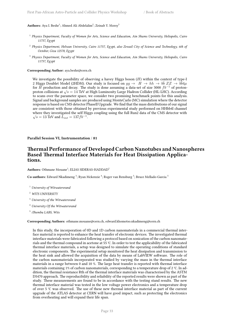### $\mathbf{Authors}\colon \mathbf{A}\mathbf{ya}\ \mathrm{I}.\ \mathbf{Beshr^1}\text{; Ahmed}\ \mathbf{Ali}\ \mathbf{Abdelalim^2}\text{; Zeinab}\ \mathrm{Y}.\ \mathbf{Morsy^3}$

- 1 *Physics Department, Faculty of Women for Arts, Science and Education, Ain Shams University, Heliopolis, Cairo 11757, Egypt*
- <sup>2</sup> Physics Department, Helwan University, Cairo 11757, Egypt, also Zewail City of Science and Technology, 6th of *October, Giza 12578, Egypt*
- 3 *Physics Department, Faculty of Women for Arts, Science and Education, Ain Shams University, Heliopolis, Cairo 11757, Egypt*

#### **Corresponding Author:** aya.beshr@cern.ch

We investigate the possibility of observing a havey Higgs boson (*H*) within the context of type-I 2 Higgs Doublet Model (2HDM). Our study is focused on  $gg \to H \to hh \to b\bar{b} ZZ \to b\bar{b}4\mu$ for *H* production and decay. The study is done assuming a data-set of size 3000 *fb−*<sup>1</sup> of protonproton collisions at *√ s* = 14 TeV at High Luminosity Large Hadron Collider (HL-LHC). According to scans over the parameter space, we consider two promising benchmark points for this analysis. Signal and background samples are produced using MonteCarlo (MC) simulation where the detector response is based on CMS detector PhaseII Upgrade. We find that the mass distributions of our signal are consistent with those obtained by previous experimental study performed on HHbb4l channel where they investigated the self Higgs coupling using the full Run2 data of the CMS detector with  $\sqrt{s} = 13$  TeV and  $L_{int} = 137fb^{-1}$ .

#### <span id="page-40-0"></span>**Parallel Session VI, Instrumentation** / **81**

### **Thermal Performance of Developed Carbon Nanotubes and Nanospheres Based Thermal Interface Materials for Heat Dissipation Applications.**

Authors: Othmane Mouane<sup>1</sup>; ELIAS SIDERAS-HADDAD<sup>2</sup>

Co-authors: Edward Nkadimeng <sup>3</sup>; Ryan Mckenzie <sup>4</sup>; Roger van Rensburg <sup>3</sup>; Bruce Mellado-Garcia <sup>5</sup>

<sup>1</sup> *University of Witwatersrand*

<sup>2</sup> *WITS UNIVERSITY*

- <sup>3</sup> *University of the Witwatersrand*
- <sup>4</sup> *University Of the Witwatersrand*

5 *iThemba LABS, Wits*

### **Corresponding Authors:** othmane.mouane@cern.ch, edward.khomotso.nkadimeng@cern.ch

In this study, the incorporation of 0D and 1D carbon nanomaterials in a commercial thermal interface material is reported to enhance the heat transfer of electronic devices. The investigated thermal interface materials were fabricated following a protocol based on sonication of the carbon nanomaterials and the thermal compound in acetone at 55 ℃. In order to test the applicability of the fabricated thermal interface materials, a setup was designed to simulate the operating conditions of standard electronic components. The experimental setup monitored the heat dissipation and transmission to the heat sink and allowed the acquisition of the data by means of LabVIEW software. The role of the carbon nanomaterials incorporated was studied by varying the mass in the thermal interface materials in a range between 0 and 10 %. The large heat transfer is reported with thermal interface materials containing 1% of carbon nanomaterials, corresponding to a temperature drop of 2 ℃. In addition, the thermal resistance Rth of the thermal interface materials was characterised by the ASTM D5470 approach. The reproducibility and reliability of the reported results were shown as part of the study. These measurements are found to be in accordance with the testing stand results. The new thermal interface material was tested in the low voltage power electronics and a temperature drop of over 5 ℃ was observed. The use of these new thermal interface material as part of the current upgrade of the ATLAS detector at CERN will have good impact, such as protecting the electronics from overheating and will expand their life span.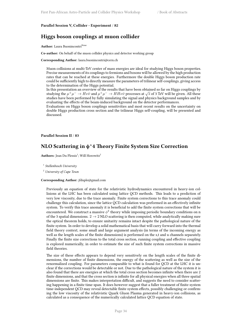### <span id="page-41-0"></span>**Parallel Session V, Collider - Experiment** / **82**

# **Higgs boson couplings at muon collider**

Author: Laura Buonincontri<sup>None</sup>

**Co-author:** On behalf of the muon collider physics and detector working group

**Corresponding Author:** laura.buonincontri@cern.ch

Muon collisions at multi-TeV center of mass energies are ideal for studying Higgs boson properties. Precise measurements of its couplings to fermions and bosons will be allowed by the high production rates that can be reached at these energies. Furthermore the double Higgs boson production rate could be sufficiently high to directly measure the parameters of trilinear self-couplings, giving access to the determination of the Higgs potential.

In this presentation an overview of the results that have been obtained so far on Higgs couplings by studying the  $\mu^+\mu^- \to H\nu\bar{\nu}$  and  $\mu^+\mu^- \to H\nu\bar{\nu}$  processes at  $\sqrt{s}$  of 3 TeV will be given. All these studies have been performed by fully simulating the signal and physics background samples and by evaluating the effects of the beam-induced background on the detector performances.

Evaluations on Higgs boson couplings sensitivities and most recent results on the uncertainty on double Higgs production cross section and the trilinear Higgs self-coupling, will be presented and discussed.

### <span id="page-41-1"></span>**Parallel Session II** / **83**

### **NLO Scattering in ϕ^4 Theory Finite System Size Correction**

**Authors:** Jean Du Plessis<sup>1</sup>; Will Horowitz<sup>2</sup>

1 *Stellenbosch University*

<sup>2</sup> *University of Cape Town*

#### **Corresponding Author:** jfduple@gmail.com

Previously an equation of state for the relativistic hydrodynamics encountered in heavy-ion collisions at the LHC has been calculated using lattice QCD methods. This leads to a prediction of very low viscosity, due to the trace anomaly. Finite system corrections to this trace anomaly could challenge this calculation, since the lattice QCD calculation was preformed in an effectively infinite system. To verify this trace anomaly it is beneficial to add the finite system corrections that will be encountered. We construct a massive *ϕ* 4 theory while imposing periodic boundary conditions on n of the 3 spatial dimensions.  $2 \rightarrow 2$  NLO scattering is then computed, while analytically making sure the optical theorem holds, to ensure unitarity remains intact despite the pathological nature of the finite system. In order to develop a solid mathematical basis that will carry forward into the thermal field theory context, some small and large argument analysis (in terms of the incoming energy as well as the length scales of the finite dimensions) is performed on the s,t and u channels separately. Finally the finite size corrections to the total cross section, running coupling and effective coupling is explored numerically, in order to estimate the size of such finite system corrections in massive field theories.

The size of these effects appears to depend very sensitively on the length scales of the finite dimensions, the number of finite dimensions, the energy of the scattering as well as the size of the renormalized coupling. For parameters comparable to what is found for QCD at the LHC it is unclear if the corrections would be detectable or not. Due to the pathological nature of the system it is also found that there are energies at which the total cross section becomes infinite when there are 2 finite dimensions, and that the cross section is infinite for all physical energies when all three spatial dimensions are finite. This makes interpretation difficult, and suggests the need to consider scattering happening in a finite time-span. It does however suggest that a fuller treatment of finite-system time-independent QCD may reveal detectable finite system effects, possibly challenging or confirming the low viscosity of the relativistic Quark Gluon Plasma generated in heavy-ion collisions, as calculated as a consequence of the numerically calculated lattice QCD equation of state.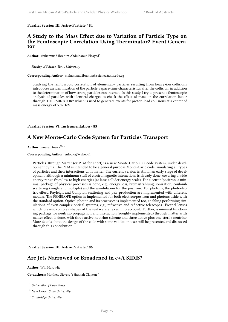### <span id="page-42-0"></span>**Parallel Session III, Astro-Particle** / **84**

### **A Study to the Mass Effect due to Variation of Particle Type on the Femtoscopic Correlation Using Therminator2 Event Generator**

Author: Muhammad Ibrahim Abdulhamid Elsayed<sup>1</sup>

1 *Faculty of Science, Tanta University*

**Corresponding Author:** muhammad.ibrahim@science.tanta.edu.eg

Studying the femtoscopic correlation of elementary particles resulting from heavy-ion collisions introduces an identification of the particle's space-time characteristics after the collision, in addition to the determination of how strong particles can interact. In this study, I try to present a femtoscopic analysis of particles with identical charges to check the effect of mass on the correlation factor through THERMINATOR2 which is used to generate events for proton-lead collisions at a center of mass energy of 5.02 TeV.

<span id="page-42-1"></span>**Parallel Session VI, Instrumentation** / **85**

# **A New Monte-Carlo Code System for Particles Transport**

Author: mourad fouka<sup>None</sup>

**Corresponding Author:** snfouka@yahoo.fr

Particles Through Matter (or PTM for short) is a new Monte-Carlo C++ code system, under development by us. The PTM is intended to be a general purpose Monte-Carlo code, simulating all types of particles and their interactions with matter. The current version is still in an early stage of development, although a minimum stuff of electromagnetic interactions is already done, covering a wide energy range from low to high energies (at least collider energy scale). For electron/positron, a minimal package of physical processes is done, e.g., energy loss, bremsstrahlung, ionization, coulomb scattering (single and multiple) and the annihilation for the positron. For photons, the photoelectric effect, Rayleigh and Compton scattering and pair production are implemented with different models. The PENELOPE option is implemented for both electron/positron and photons aside with the standard option. Optical photon and its processes is implemented too, enabling performing simulations of even complex optical systems, e.g., refractive and reflective telescopes. Fresnel lenses which present complex shapes of the surface are taken into account. Further, a minimal functioning package for neutrino propagation and interaction (roughly implemented) through matter with matter effect is done, with three active neutrino scheme and three active plus one sterile neutrino. More details about the design of the code with some validation tests will be presented and discussed through this contribution.

<span id="page-42-2"></span>**Parallel Session III, Astro-Particle** / **86**

# **Are Jets Narrowed or Broadened in e+A SIDIS?**

**Author:** Will Horowitz<sup>1</sup>

Co-authors: Matthew Sievert<sup>2</sup>; Hannah Clayton<sup>3</sup>

<sup>1</sup> *University of Cape Town*

- <sup>2</sup> *New Mexico State University*
- <sup>3</sup> *Cambridge University*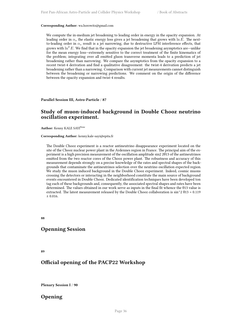#### **Corresponding Author:** wa.horowitz@gmail.com

We compute the in-medium jet broadening to leading order in energy in the opacity expansion. At leading order in  $\alpha_s$  the elastic energy loss gives a jet broadening that grows with  $\ln E$ . The nextto-leading order in  $\alpha_s$  result is a jet narrowing, due to destructive LPM interference effects, that grows with  $\ln^2 E$ . We find that in the opacity expansion the jet broadening asymptotics are—unlike for the mean energy loss—extremely sensitive to the correct treatment of the finite kinematics of the problem; integrating over all emitted gluon transverse momenta leads to a prediction of jet broadening rather than narrowing. We compare the asymptotics from the opacity expansion to a recent twist-4 derivation and find a qualitative disagreement: the twist-4 derivation predicts a jet broadening rather than a narrowing. Comparison with current jet measurements cannot distinguish between the broadening or narrowing predictions. We comment on the origin of the difference between the opacity expansion and twist-4 results.

<span id="page-43-0"></span>**Parallel Session III, Astro-Particle** / **87**

### **Study of muon-induced background in Double Chooz neutrino oscillation experiment.**

Author: Kenny KALE SAYI<sup>None</sup>

#### **Corresponding Author:** kenny.kale-sayi@epita.fr

The Double Chooz experiment is a reactor antineutrino disappearance experiment located on the site of the Chooz nuclear power plant in the Ardennes region in France. The principal aim of the experiment is a high precision measurement of the oscillation amplitude sin2 2θ13 of the antineutrinos emitted from the two reactor cores of the Chooz power plant. The robustness and accuracy of this measurement depends strongly on a precise knowledge of the rates and spectral shapes of the backgrounds that contaminate the antineutrinos selection over the neutrino oscillation expected region. We study the muon induced background in the Double Chooz experiment. Indeed, cosmic muons crossing the detectors or interacting in the neighborhood constitute the main source of background events encountered in Double Chooz. Dedicated identification techniques have been developed ton tag each of these backgrounds and, consequently, the associated spectral shapes and rates have been determined. The values obtained in our work serve as inputs in the final fit whence the θ13 value is extracted. The latest measurement released by the Double Chooz collaboration is  $\sin^2 2 \theta$ 13 = 0.119 ± 0.016.

<span id="page-43-1"></span>**88**

### **Openning Session**

<span id="page-43-2"></span>**89**

### **Official opening of the PACP22 Workshop**

<span id="page-43-3"></span>**Plenary Session I** / **90**

# **Opening**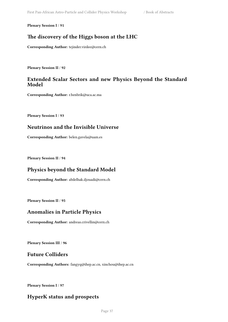<span id="page-44-0"></span>**Plenary Session I** / **91**

# **The discovery of the Higgs boson at the LHC**

**Corresponding Author:** tejinder.virdee@cern.ch

<span id="page-44-1"></span>**Plenary Session II** / **92**

# **Extended Scalar Sectors and new Physics Beyond the Standard Model**

**Corresponding Author:** r.benbrik@uca.ac.ma

<span id="page-44-2"></span>**Plenary Session I** / **93**

# **Neutrinos and the Invisible Universe**

**Corresponding Author:** belen.gavela@uam.es

<span id="page-44-3"></span>**Plenary Session II** / **94**

# **Physics beyond the Standard Model**

**Corresponding Author:** abdelhak.djouadi@cern.ch

<span id="page-44-4"></span>**Plenary Session II** / **95**

# **Anomalies in Particle Physics**

**Corresponding Author:** andreas.crivellin@cern.ch

<span id="page-44-5"></span>**Plenary Session III** / **96**

# **Future Colliders**

**Corresponding Authors:** fangyq@ihep.ac.cn, xinchou@ihep.ac.cn

<span id="page-44-6"></span>**Plenary Session I** / **97**

# **HyperK status and prospects**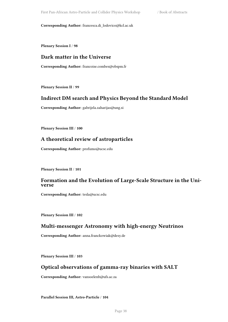**Corresponding Author:** francesca.di\_lodovico@kcl.ac.uk

<span id="page-45-0"></span>**Plenary Session I** / **98**

# **Dark matter in the Universe**

**Corresponding Author:** francoise.combes@obspm.fr

<span id="page-45-1"></span>**Plenary Session II** / **99**

# **Indirect DM search and Physics Beyond the Standard Model**

**Corresponding Author:** gabrijela.zaharijas@ung.si

<span id="page-45-2"></span>**Plenary Session III** / **100**

# **A theoretical review of astroparticles**

**Corresponding Author:** profumo@ucsc.edu

<span id="page-45-3"></span>**Plenary Session II** / **101**

### **Formation and the Evolution of Large-Scale Structure in the Universe**

**Corresponding Author:** tesla@ucsc.edu

<span id="page-45-4"></span>**Plenary Session III** / **102**

# **Multi-messenger Astronomy with high-energy Neutrinos**

**Corresponding Author:** anna.franckowiak@desy.de

**Plenary Session III** / **103**

# **Optical observations of gamma-ray binaries with SALT**

**Corresponding Author:** vansoelenb@ufs.ac.za

### **Parallel Session III, Astro-Particle** / **104**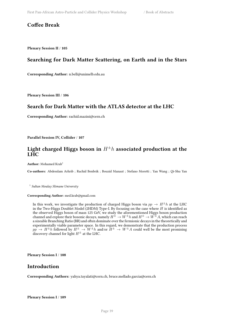# **Coffee Break**

<span id="page-46-0"></span>**Plenary Session II** / **105**

# **Searching for Dark Matter Scattering, on Earth and in the Stars**

**Corresponding Author:** n.bell@unimelb.edu.au

<span id="page-46-1"></span>**Plenary Session III** / **106**

# **Search for Dark Matter with the ATLAS detector at the LHC**

**Corresponding Author:** rachid.mazini@cern.ch

<span id="page-46-2"></span>**Parallel Session IV, Collider** / **107**

# Light charged Higgs boson in  $H^{\pm}h$  associated production at the **LHC**

Author: Mohamed Krab<sup>1</sup>

**Co-authors:** Abdesslam Arhrib ; Rachid Benbrik ; Bouzid Manaut ; Stefano Moretti ; Yan Wang ; Qi-Shu Yan

1 *Sultan Moulay Slimane University*

**Corresponding Author:** med.krab@gmail.com

In this work, we investigate the production of charged Higgs boson via  $pp \rightarrow H^{\pm} h$  at the LHC in the Two-Higgs Doublet Model (2HDM) Type-I. By focusing on the case where *H* is identified as the observed Higgs boson of mass 125 GeV, we study the aforementioned Higgs boson production channel and explore their bosonic decays, namely  $H^{\pm} \to W^{\pm}h$  and  $H^{\pm} \to W^{\pm}A$ , which can reach a sizeable Branching Ratio (BR) and often dominate over the fermionic decays in the theoretically and experimentally viable parameter space. In this regard, we demonstrate that the production process  $pp \rightarrow H^{\pm}h$  followed by  $H^{\pm} \rightarrow W^{\pm}h$  and/or  $H^{\pm} \rightarrow W^{\pm}A$  could well be the most promising discovery channel for light  $H^{\pm}$  at the LHC.

<span id="page-46-3"></span>**Plenary Session I** / **108**

### **Introduction**

<span id="page-46-4"></span>**Corresponding Authors:** yahya.tayalati@cern.ch, bruce.mellado.garcia@cern.ch